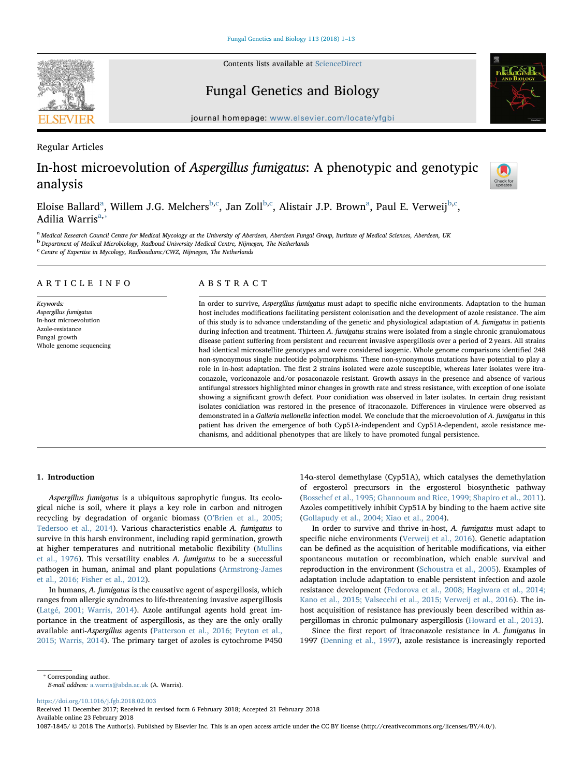Contents lists available at [ScienceDirect](http://www.sciencedirect.com/science/journal/10871845)

Fungal Genetics and Biology

 $j<sub>i</sub>$  is a homepage: where  $i<sub>i</sub>$  is equal to the complex of  $j<sub>i</sub>$ 

Regular Articles

# In-host microevolution of Aspergillus fumigatus: A phenotypic and genotypic analysis

Eloise B[a](#page-0-0)llard<sup>a</sup>, Willem J.G. Melchers<sup>[b](#page-0-1)[,c](#page-0-2)</sup>, Jan Zoll<sup>[b,](#page-0-1)[c](#page-0-2)</sup>, Alistair J.P. Brown<sup>a</sup>, Paul E. Verweij<sup>b,c</sup>, Adili[a](#page-0-0) Warris<sup>a,</sup>

<span id="page-0-1"></span><span id="page-0-0"></span><sup>a</sup> Medical Research Council Centre for Medical Mycology at the University of Aberdeen, Aberdeen Fungal Group, Institute of Medical Sciences, Aberdeen, UK<br><sup>b</sup> Department of Medical Microbiology, Radboud University Medical

<span id="page-0-2"></span><sup>c</sup> Centre of Expertise in Mycology, Radboudumc/CWZ, Nijmegen, The Netherlands

# ARTICLE INFO

Keywords: Aspergillus fumigatus In-host microevolution Azole-resistance Fungal growth Whole genome sequencing

# ABSTRACT

In order to survive, Aspergillus fumigatus must adapt to specific niche environments. Adaptation to the human host includes modifications facilitating persistent colonisation and the development of azole resistance. The aim of this study is to advance understanding of the genetic and physiological adaptation of A. fumigatus in patients during infection and treatment. Thirteen A. fumigatus strains were isolated from a single chronic granulomatous disease patient suffering from persistent and recurrent invasive aspergillosis over a period of 2 years. All strains had identical microsatellite genotypes and were considered isogenic. Whole genome comparisons identified 248 non-synonymous single nucleotide polymorphisms. These non-synonymous mutations have potential to play a role in in-host adaptation. The first 2 strains isolated were azole susceptible, whereas later isolates were itraconazole, voriconazole and/or posaconazole resistant. Growth assays in the presence and absence of various antifungal stressors highlighted minor changes in growth rate and stress resistance, with exception of one isolate showing a significant growth defect. Poor conidiation was observed in later isolates. In certain drug resistant isolates conidiation was restored in the presence of itraconazole. Differences in virulence were observed as demonstrated in a Galleria mellonella infection model. We conclude that the microevolution of A. fumigatus in this patient has driven the emergence of both Cyp51A-independent and Cyp51A-dependent, azole resistance mechanisms, and additional phenotypes that are likely to have promoted fungal persistence.

# 1. Introduction

Aspergillus fumigatus is a ubiquitous saprophytic fungus. Its ecological niche is soil, where it plays a key role in carbon and nitrogen recycling by degradation of organic biomass (O'[Brien et al., 2005;](#page-11-0) [Tedersoo et al., 2014](#page-11-0)). Various characteristics enable A. fumigatus to survive in this harsh environment, including rapid germination, growth at higher temperatures and nutritional metabolic flexibility [\(Mullins](#page-11-1) [et al., 1976](#page-11-1)). This versatility enables A. fumigatus to be a successful pathogen in human, animal and plant populations [\(Armstrong-James](#page-10-0) [et al., 2016; Fisher et al., 2012](#page-10-0)).

In humans, A. fumigatus is the causative agent of aspergillosis, which ranges from allergic syndromes to life-threatening invasive aspergillosis ([Latgé, 2001; Warris, 2014\)](#page-11-2). Azole antifungal agents hold great importance in the treatment of aspergillosis, as they are the only orally available anti-Aspergillus agents ([Patterson et al., 2016; Peyton et al.,](#page-11-3) [2015; Warris, 2014\)](#page-11-3). The primary target of azoles is cytochrome P450  $14\alpha$ -sterol demethylase (Cyp51A), which catalyses the demethylation of ergosterol precursors in the ergosterol biosynthetic pathway ([Bosschef et al., 1995; Ghannoum and Rice, 1999; Shapiro et al., 2011](#page-10-1)). Azoles competitively inhibit Cyp51A by binding to the haem active site ([Gollapudy et al., 2004; Xiao et al., 2004\)](#page-11-4).

In order to survive and thrive in-host, A. fumigatus must adapt to specific niche environments [\(Verweij et al., 2016](#page-12-0)). Genetic adaptation can be defined as the acquisition of heritable modifications, via either spontaneous mutation or recombination, which enable survival and reproduction in the environment ([Schoustra et al., 2005\)](#page-11-5). Examples of adaptation include adaptation to enable persistent infection and azole resistance development ([Fedorova et al., 2008; Hagiwara et al., 2014;](#page-11-6) [Kano et al., 2015; Valsecchi et al., 2015; Verweij et al., 2016](#page-11-6)). The inhost acquisition of resistance has previously been described within aspergillomas in chronic pulmonary aspergillosis ([Howard et al., 2013](#page-11-7)).

Since the first report of itraconazole resistance in A. fumigatus in 1997 ([Denning et al., 1997](#page-11-8)), azole resistance is increasingly reported

<https://doi.org/10.1016/j.fgb.2018.02.003>

Received 11 December 2017; Received in revised form 6 February 2018; Accepted 21 February 2018 Available online 23 February 2018

1087-1845/ © 2018 The Author(s). Published by Elsevier Inc. This is an open access article under the CC BY license (http://creativecommons.org/licenses/BY/4.0/).







<span id="page-0-3"></span><sup>⁎</sup> Corresponding author. E-mail address: [a.warris@abdn.ac.uk](mailto:a.warris@abdn.ac.uk) (A. Warris).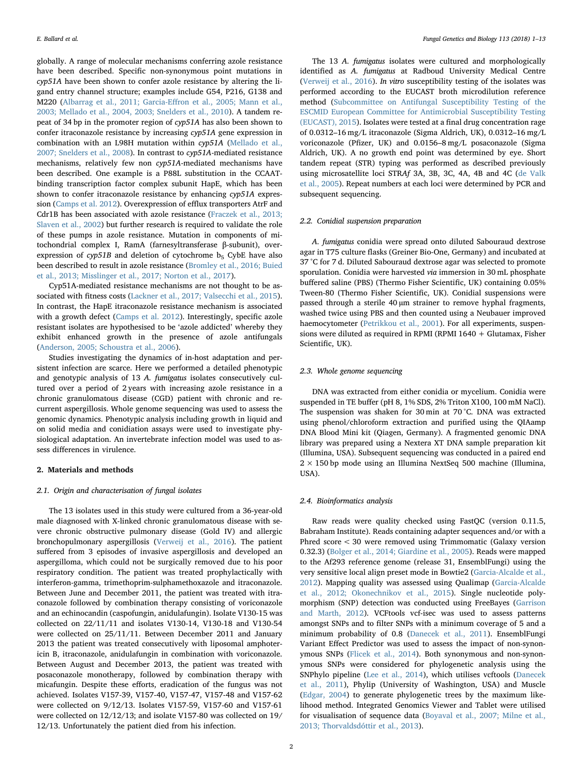globally. A range of molecular mechanisms conferring azole resistance have been described. Specific non-synonymous point mutations in cyp51A have been shown to confer azole resistance by altering the ligand entry channel structure; examples include G54, P216, G138 and M220 [\(Albarrag et al., 2011; Garcia-E](#page-10-2)ffron et al., 2005; Mann et al., [2003; Mellado et al., 2004, 2003; Snelders et al., 2010\)](#page-10-2). A tandem repeat of 34 bp in the promoter region of cyp51A has also been shown to confer itraconazole resistance by increasing cyp51A gene expression in combination with an L98H mutation within cyp51A [\(Mellado et al.,](#page-11-9) [2007; Snelders et al., 2008\)](#page-11-9). In contrast to cyp51A-mediated resistance mechanisms, relatively few non cyp51A-mediated mechanisms have been described. One example is a P88L substitution in the CCAATbinding transcription factor complex subunit HapE, which has been shown to confer itraconazole resistance by enhancing cyp51A expression [\(Camps et al. 2012\)](#page-10-3). Overexpression of efflux transporters AtrF and Cdr1B has been associated with azole resistance ([Fraczek et al., 2013;](#page-11-10) [Slaven et al., 2002](#page-11-10)) but further research is required to validate the role of these pumps in azole resistance. Mutation in components of mitochondrial complex I, RamA (farnesyltransferase β-subunit), overexpression of  $\alpha$ yp51B and deletion of cytochrome  $b_5$  CybE have also been described to result in azole resistance ([Bromley et al., 2016; Buied](#page-10-4) [et al., 2013; Misslinger et al., 2017; Norton et al., 2017](#page-10-4)).

Cyp51A-mediated resistance mechanisms are not thought to be associated with fitness costs ([Lackner et al., 2017; Valsecchi et al., 2015](#page-11-11)). In contrast, the HapE itraconazole resistance mechanism is associated with a growth defect [\(Camps et al. 2012\)](#page-10-3). Interestingly, specific azole resistant isolates are hypothesised to be 'azole addicted' whereby they exhibit enhanced growth in the presence of azole antifungals ([Anderson, 2005; Schoustra et al., 2006\)](#page-10-5).

Studies investigating the dynamics of in-host adaptation and persistent infection are scarce. Here we performed a detailed phenotypic and genotypic analysis of 13 A. fumigatus isolates consecutively cultured over a period of 2 years with increasing azole resistance in a chronic granulomatous disease (CGD) patient with chronic and recurrent aspergillosis. Whole genome sequencing was used to assess the genomic dynamics. Phenotypic analysis including growth in liquid and on solid media and conidiation assays were used to investigate physiological adaptation. An invertebrate infection model was used to assess differences in virulence.

## 2. Materials and methods

#### 2.1. Origin and characterisation of fungal isolates

The 13 isolates used in this study were cultured from a 36-year-old male diagnosed with X-linked chronic granulomatous disease with severe chronic obstructive pulmonary disease (Gold IV) and allergic bronchopulmonary aspergillosis [\(Verweij et al., 2016](#page-12-0)). The patient suffered from 3 episodes of invasive aspergillosis and developed an aspergilloma, which could not be surgically removed due to his poor respiratory condition. The patient was treated prophylactically with interferon-gamma, trimethoprim-sulphamethoxazole and itraconazole. Between June and December 2011, the patient was treated with itraconazole followed by combination therapy consisting of voriconazole and an echinocandin (caspofungin, anidulafungin). Isolate V130-15 was collected on 22/11/11 and isolates V130-14, V130-18 and V130-54 were collected on 25/11/11. Between December 2011 and January 2013 the patient was treated consecutively with liposomal amphotericin B, itraconazole, anidulafungin in combination with voriconazole. Between August and December 2013, the patient was treated with posaconazole monotherapy, followed by combination therapy with micafungin. Despite these efforts, eradication of the fungus was not achieved. Isolates V157-39, V157-40, V157-47, V157-48 and V157-62 were collected on 9/12/13. Isolates V157-59, V157-60 and V157-61 were collected on 12/12/13; and isolate V157-80 was collected on 19/ 12/13. Unfortunately the patient died from his infection.

The 13 A. fumigatus isolates were cultured and morphologically identified as A. fumigatus at Radboud University Medical Centre ([Verweij et al., 2016\)](#page-12-0). In vitro susceptibility testing of the isolates was performed according to the EUCAST broth microdilution reference method [\(Subcommittee on Antifungal Susceptibility Testing of the](#page-12-1) [ESCMID European Committee for Antimicrobial Susceptibility Testing](#page-12-1) [\(EUCAST\), 2015](#page-12-1)). Isolates were tested at a final drug concentration rage of 0.0312–16 mg/L itraconazole (Sigma Aldrich, UK), 0.0312–16 mg/L voriconazole (Pfizer, UK) and 0.0156–8 mg/L posaconazole (Sigma Aldrich, UK). A no growth end point was determined by eye. Short tandem repeat (STR) typing was performed as described previously using microsatellite loci STRAf 3A, 3B, 3C, 4A, 4B and 4C ([de Valk](#page-11-12) [et al., 2005](#page-11-12)). Repeat numbers at each loci were determined by PCR and subsequent sequencing.

#### 2.2. Conidial suspension preparation

A. fumigatus conidia were spread onto diluted Sabouraud dextrose agar in T75 culture flasks (Greiner Bio-One, Germany) and incubated at 37 °C for 7 d. Diluted Sabouraud dextrose agar was selected to promote sporulation. Conidia were harvested via immersion in 30 mL phosphate buffered saline (PBS) (Thermo Fisher Scientific, UK) containing 0.05% Tween-80 (Thermo Fisher Scientific, UK). Conidial suspensions were passed through a sterile 40 µm strainer to remove hyphal fragments, washed twice using PBS and then counted using a Neubauer improved haemocytometer [\(Petrikkou et al., 2001](#page-11-13)). For all experiments, suspensions were diluted as required in RPMI (RPMI 1640 + Glutamax, Fisher Scientific, UK).

## 2.3. Whole genome sequencing

DNA was extracted from either conidia or mycelium. Conidia were suspended in TE buffer (pH 8, 1% SDS, 2% Triton X100, 100 mM NaCl). The suspension was shaken for 30 min at 70 °C. DNA was extracted using phenol/chloroform extraction and purified using the QIAamp DNA Blood Mini kit (Qiagen, Germany). A fragmented genomic DNA library was prepared using a Nextera XT DNA sample preparation kit (Illumina, USA). Subsequent sequencing was conducted in a paired end  $2 \times 150$  bp mode using an Illumina NextSeq 500 machine (Illumina, USA).

## 2.4. Bioinformatics analysis

Raw reads were quality checked using FastQC (version 0.11.5, Babraham Institute). Reads containing adapter sequences and/or with a Phred score < 30 were removed using Trimmomatic (Galaxy version 0.32.3) [\(Bolger et al., 2014; Giardine et al., 2005\)](#page-10-6). Reads were mapped to the Af293 reference genome (release 31, EnsemblFungi) using the very sensitive local align preset mode in Bowtie2 [\(Garcia-Alcalde et al.,](#page-11-14) [2012\)](#page-11-14). Mapping quality was assessed using Qualimap ([Garcia-Alcalde](#page-11-14) [et al., 2012; Okonechnikov et al., 2015\)](#page-11-14). Single nucleotide polymorphism (SNP) detection was conducted using FreeBayes [\(Garrison](#page-11-15) [and Marth, 2012\)](#page-11-15). VCFtools vcf-isec was used to assess patterns amongst SNPs and to filter SNPs with a minimum coverage of 5 and a minimum probability of 0.8 [\(Danecek et al., 2011](#page-10-7)). EnsemblFungi Variant Effect Predictor was used to assess the impact of non-synonymous SNPs ([Flicek et al., 2014](#page-11-16)). Both synonymous and non-synonymous SNPs were considered for phylogenetic analysis using the SNPhylo pipeline ([Lee et al., 2014](#page-11-17)), which utilises vcftools ([Danecek](#page-10-7) [et al., 2011](#page-10-7)), Phylip (University of Washington, USA) and Muscle ([Edgar, 2004](#page-11-18)) to generate phylogenetic trees by the maximum likelihood method. Integrated Genomics Viewer and Tablet were utilised for visualisation of sequence data ([Boyaval et al., 2007; Milne et al.,](#page-10-8) [2013; Thorvaldsdóttir et al., 2013\)](#page-10-8).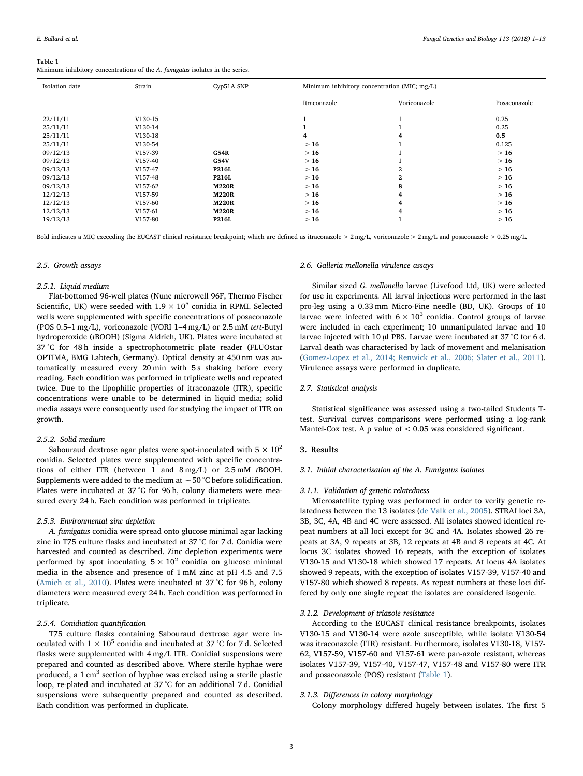#### <span id="page-2-0"></span>Table 1

Minimum inhibitory concentrations of the A. fumigatus isolates in the series.

| Isolation date | Strain  | Cyp51A SNP   |              | Minimum inhibitory concentration (MIC; mg/L) |              |
|----------------|---------|--------------|--------------|----------------------------------------------|--------------|
|                |         |              | Itraconazole | Voriconazole                                 | Posaconazole |
| 22/11/11       | V130-15 |              |              |                                              | 0.25         |
| 25/11/11       | V130-14 |              |              |                                              | 0.25         |
| 25/11/11       | V130-18 |              | 4            | 4                                            | 0.5          |
| 25/11/11       | V130-54 |              | >16          |                                              | 0.125        |
| 09/12/13       | V157-39 | <b>G54R</b>  | >16          |                                              | >16          |
| 09/12/13       | V157-40 | <b>G54V</b>  | >16          |                                              | >16          |
| 09/12/13       | V157-47 | <b>P216L</b> | >16          | 2                                            | >16          |
| 09/12/13       | V157-48 | <b>P216L</b> | >16          | 2                                            | >16          |
| 09/12/13       | V157-62 | <b>M220R</b> | >16          | 8                                            | >16          |
| 12/12/13       | V157-59 | <b>M220R</b> | >16          | 4                                            | >16          |
| 12/12/13       | V157-60 | <b>M220R</b> | >16          | 4                                            | >16          |
| 12/12/13       | V157-61 | <b>M220R</b> | >16          | 4                                            | >16          |
| 19/12/13       | V157-80 | P216L        | >16          |                                              | >16          |

Bold indicates a MIC exceeding the EUCAST clinical resistance breakpoint; which are defined as itraconazole > 2 mg/L, voriconazole > 2 mg/L and posaconazole > 0.25 mg/L.

## 2.5. Growth assays

## 2.5.1. Liquid medium

Flat-bottomed 96-well plates (Nunc microwell 96F, Thermo Fischer Scientific, UK) were seeded with  $1.9 \times 10^5$  conidia in RPMI. Selected wells were supplemented with specific concentrations of posaconazole (POS 0.5–1 mg/L), voriconazole (VORI 1–4 mg/L) or 2.5 mM tert-Butyl hydroperoxide (tBOOH) (Sigma Aldrich, UK). Plates were incubated at 37 °C for 48 h inside a spectrophotometric plate reader (FLUOstar OPTIMA, BMG Labtech, Germany). Optical density at 450 nm was automatically measured every 20 min with 5 s shaking before every reading. Each condition was performed in triplicate wells and repeated twice. Due to the lipophilic properties of itraconazole (ITR), specific concentrations were unable to be determined in liquid media; solid media assays were consequently used for studying the impact of ITR on growth.

## 2.5.2. Solid medium

Sabouraud dextrose agar plates were spot-inoculated with  $5 \times 10^2$ conidia. Selected plates were supplemented with specific concentrations of either ITR (between 1 and 8 mg/L) or 2.5 mM tBOOH. Supplements were added to the medium at ∼50 °C before solidification. Plates were incubated at 37 °C for 96 h, colony diameters were measured every 24 h. Each condition was performed in triplicate.

## 2.5.3. Environmental zinc depletion

A. fumigatus conidia were spread onto glucose minimal agar lacking zinc in T75 culture flasks and incubated at 37 °C for 7 d. Conidia were harvested and counted as described. Zinc depletion experiments were performed by spot inoculating  $5 \times 10^2$  conidia on glucose minimal media in the absence and presence of 1 mM zinc at pH 4.5 and 7.5 ([Amich et al., 2010\)](#page-10-9). Plates were incubated at 37 °C for 96 h, colony diameters were measured every 24 h. Each condition was performed in triplicate.

## 2.5.4. Conidiation quantification

T75 culture flasks containing Sabouraud dextrose agar were inoculated with  $1 \times 10^5$  conidia and incubated at 37 °C for 7 d. Selected flasks were supplemented with 4 mg/L ITR. Conidial suspensions were prepared and counted as described above. Where sterile hyphae were produced, a  $1 \text{ cm}^3$  section of hyphae was excised using a sterile plastic loop, re-plated and incubated at 37 °C for an additional 7 d. Conidial suspensions were subsequently prepared and counted as described. Each condition was performed in duplicate.

## 2.6. Galleria mellonella virulence assays

Similar sized G. mellonella larvae (Livefood Ltd, UK) were selected for use in experiments. All larval injections were performed in the last pro-leg using a 0.33 mm Micro-Fine needle (BD, UK). Groups of 10 larvae were infected with  $6 \times 10^3$  conidia. Control groups of larvae were included in each experiment; 10 unmanipulated larvae and 10 larvae injected with 10 µl PBS. Larvae were incubated at 37 °C for 6 d. Larval death was characterised by lack of movement and melanisation ([Gomez-Lopez et al., 2014; Renwick et al., 2006; Slater et al., 2011](#page-11-19)). Virulence assays were performed in duplicate.

# 2.7. Statistical analysis

Statistical significance was assessed using a two-tailed Students Ttest. Survival curves comparisons were performed using a log-rank Mantel-Cox test. A p value of < 0.05 was considered significant.

## 3. Results

## 3.1. Initial characterisation of the A. Fumigatus isolates

### 3.1.1. Validation of genetic relatedness

Microsatellite typing was performed in order to verify genetic relatedness between the 13 isolates [\(de Valk et al., 2005\)](#page-11-12). STRAf loci 3A, 3B, 3C, 4A, 4B and 4C were assessed. All isolates showed identical repeat numbers at all loci except for 3C and 4A. Isolates showed 26 repeats at 3A, 9 repeats at 3B, 12 repeats at 4B and 8 repeats at 4C. At locus 3C isolates showed 16 repeats, with the exception of isolates V130-15 and V130-18 which showed 17 repeats. At locus 4A isolates showed 9 repeats, with the exception of isolates V157-39, V157-40 and V157-80 which showed 8 repeats. As repeat numbers at these loci differed by only one single repeat the isolates are considered isogenic.

## 3.1.2. Development of triazole resistance

According to the EUCAST clinical resistance breakpoints, isolates V130-15 and V130-14 were azole susceptible, while isolate V130-54 was itraconazole (ITR) resistant. Furthermore, isolates V130-18, V157- 62, V157-59, V157-60 and V157-61 were pan-azole resistant, whereas isolates V157-39, V157-40, V157-47, V157-48 and V157-80 were ITR and posaconazole (POS) resistant ([Table 1](#page-2-0)).

#### 3.1.3. Differences in colony morphology

Colony morphology differed hugely between isolates. The first 5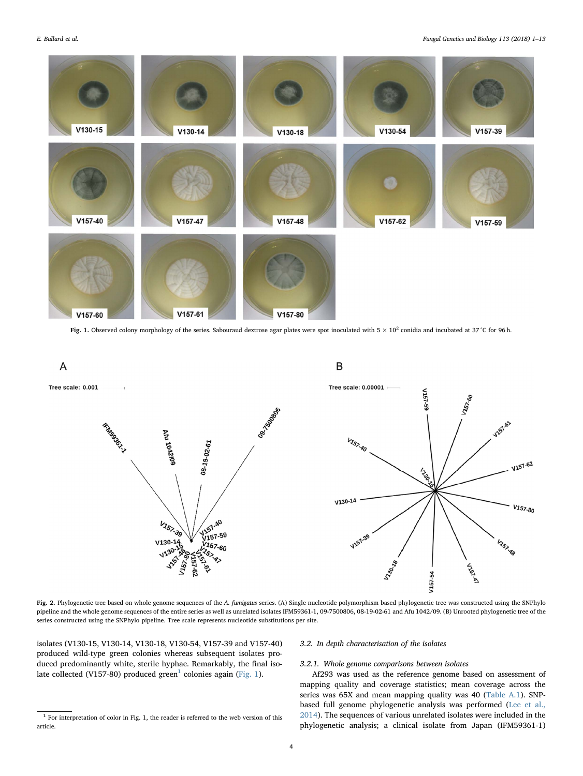<span id="page-3-1"></span>

Fig. 1. Observed colony morphology of the series. Sabouraud dextrose agar plates were spot inoculated with  $5 \times 10^2$  conidia and incubated at 37 °C for 96 h.

<span id="page-3-2"></span>

Fig. 2. Phylogenetic tree based on whole genome sequences of the A. fumigatus series. (A) Single nucleotide polymorphism based phylogenetic tree was constructed using the SNPhylo pipeline and the whole genome sequences of the entire series as well as unrelated isolates IFM59361-1, 09-7500806, 08-19-02-61 and Afu 1042/09. (B) Unrooted phylogenetic tree of the series constructed using the SNPhylo pipeline. Tree scale represents nucleotide substitutions per site.

isolates (V130-15, V130-14, V130-18, V130-54, V157-39 and V157-40) produced wild-type green colonies whereas subsequent isolates produced predominantly white, sterile hyphae. Remarkably, the final iso-late collected (V[1](#page-3-0)57-80) produced green<sup>1</sup> colonies again [\(Fig. 1](#page-3-1)).

## <span id="page-3-0"></span> $^{\rm 1}$  For interpretation of color in Fig. 1, the reader is referred to the web version of this article.

# 3.2. In depth characterisation of the isolates

# 3.2.1. Whole genome comparisons between isolates

Af293 was used as the reference genome based on assessment of mapping quality and coverage statistics; mean coverage across the series was 65X and mean mapping quality was 40 [\(Table A.1](#page-7-0)). SNPbased full genome phylogenetic analysis was performed [\(Lee et al.,](#page-11-17) [2014\)](#page-11-17). The sequences of various unrelated isolates were included in the phylogenetic analysis; a clinical isolate from Japan (IFM59361-1)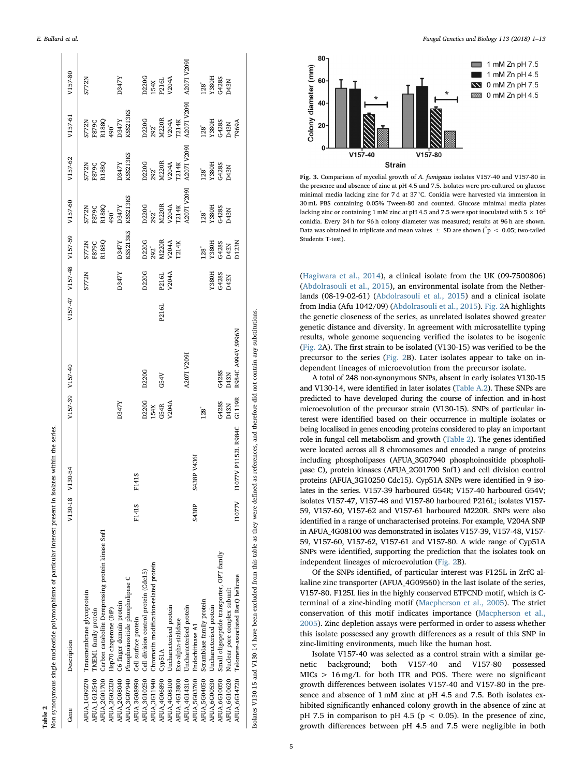<span id="page-4-0"></span>

| Table 2                  | Non synonymous single nucleotide polymorphisms of particular interest present in isolates within the series.                                         |               |                     |                 |                   |       |                         |              |                 |              |                         |              |
|--------------------------|------------------------------------------------------------------------------------------------------------------------------------------------------|---------------|---------------------|-----------------|-------------------|-------|-------------------------|--------------|-----------------|--------------|-------------------------|--------------|
| Gene                     | Description                                                                                                                                          | V130-18       | V130-54             | V157-39 V157-40 |                   |       | V157-47 V157-48 V157-59 |              | V157-60         | V157-62      | V157-61                 | V157-80      |
|                          | AFUA_1G09270 Transmembrane glycoprotein                                                                                                              |               |                     |                 |                   |       | S772N                   | S772N        | <b>S772N</b>    | S772N        | S772N                   | S772N        |
|                          | AFUA_1G12540 TMEM1 family protein                                                                                                                    |               |                     |                 |                   |       |                         | F879C        | F879C           | F879C        | F879C                   |              |
| AFUA 2G01700             | Carbon catabolite Derepressing protein kinase Snf1                                                                                                   |               |                     |                 |                   |       |                         | R188Q        | R188Q           | R188Q        | R188Q                   |              |
|                          | AFUA_2G02320 Hsp70 chaperone (BiP)                                                                                                                   |               |                     |                 |                   |       |                         |              | <sup>*</sup> 06 |              | 490                     |              |
| AFUA_2G08040             | C6 finger domain protein                                                                                                                             |               |                     | D347Y           |                   |       | D347Y                   | D347Y        | D347Y           | D347Y        | D347Y                   | D347Y        |
| AFUA 3G07940             | Phosphoinositide phospholipase C                                                                                                                     |               |                     |                 |                   |       |                         | KSS213KS     | KSS213KS        | KSS213KS     | KSS213KS                |              |
| <b>AFUA 3G08990</b>      | Cell surface protein                                                                                                                                 | F141S         | F141S               |                 |                   |       |                         |              |                 |              |                         |              |
| <b>AFUA_3G10250</b>      | Cell division control protein (Cdc15)                                                                                                                |               |                     | D220G           | D220G             |       | D220G                   | D220G        | D220G           | D220G        | D220G                   | D220G        |
| AFUA 3G11940             | Chromatin modification-related protein                                                                                                               |               |                     | 154X            |                   |       |                         | $292^*$      | $292^*$         | 292*         | $292^{*}$               | <b>154X</b>  |
| AFUA_4G06890             | Cyp51A                                                                                                                                               |               |                     | <b>G54R</b>     | G54V              | P216L | P216L                   | M220R        | M220R           | M220R        | M220R                   | P216L        |
| AFUA_4G08100             | Uncharacterised protein                                                                                                                              |               |                     | V204A           |                   |       | V204A                   | V204A        | V204A           | V204A        | V204A                   | V204A        |
| AFUA <sub>4</sub> G13800 | Exo-alpha-sialidase                                                                                                                                  |               |                     |                 |                   |       |                         | T214K        | T214K           | <b>T214K</b> | T214K                   |              |
|                          | AFUA_4G14310 Uncharacterised protein                                                                                                                 |               |                     |                 | A2071 V2091       |       |                         |              | A2071 V2091     | A2071 V2091  | A2071 V2091 A2071 V2091 |              |
| <b>AFUA 5G03760</b>      | Endochitinase A1                                                                                                                                     | S438P         | S438P V436I         |                 |                   |       |                         |              |                 |              |                         |              |
| AFUA_5G04050             | Scramblase family protein                                                                                                                            |               |                     | $128^{\circ}$   |                   |       |                         | $128^{*}$    | $128^*$         | $128^{*}$    | $128^*$                 | $128^*$      |
| AFUA 6G00530             | Uncharacterised protein                                                                                                                              |               |                     |                 |                   |       | <b>Y380H</b>            | <b>Y380H</b> | <b>Y380H</b>    | <b>Y380H</b> | Y380H                   | <b>Y380H</b> |
| <b>AFUA_6G10050</b>      | Small oligopeptide transporter, OPT family                                                                                                           |               |                     | G428S           | G428S             |       | G428S                   | G428S        | G428S           | G428S        | G428S                   | G428S        |
| <b>AFUA 6G10620</b>      | Nuclear pore complex subunit                                                                                                                         |               |                     | D43N            | D43N              |       | D43N                    | D43N         | D43N            | D43N         | D43N                    | D43N         |
| AFUA_6G14720             | Telomere-associated RecQ helicase                                                                                                                    | <b>I1077V</b> | 11077V P1152L R984C | G1119R          | R984C A994V S996N |       |                         | D123N        |                 |              | <b>P6961</b>            |              |
|                          | Isolates V130-15 and V130-14 have been excluded from this table as they were defined as references, and therefore did not contain any substitutions. |               |                     |                 |                   |       |                         |              |                 |              |                         |              |

<span id="page-4-1"></span>

Fig. 3. Comparison of mycelial growth of A. fumigatus isolates V157-40 and V157-80 in the presence and absence of zinc at pH 4.5 and 7.5. Isolates were pre-cultured on glucose minimal media lacking zinc for 7 d at 37 °C. Conidia were harvested via immersion in 30 mL PBS containing 0.05% Tween-80 and counted. Glucose minimal media plates lacking zinc or containing 1 mM zinc at pH 4.5 and 7.5 were spot inoculated with  $5 \times 10^2$ conidia. Every 24 h for 96 h colony diameter was measured; results at 96 h are shown. Data was obtained in triplicate and mean values  $\pm$  SD are shown ( $\degree$ p < 0.05; two-tailed Students T-test).

([Hagiwara et al., 2014](#page-11-20)), a clinical isolate from the UK (09-7500806) ([Abdolrasouli et al., 2015](#page-10-10)), an environmental isolate from the Netherlands (08-19-02-61) ([Abdolrasouli et al., 2015](#page-10-10)) and a clinical isolate from India (Afu 1042/09) ([Abdolrasouli et al., 2015](#page-10-10)). [Fig. 2](#page-3-2)A highlights the genetic closeness of the series, as unrelated isolates showed greater genetic distance and diversity. In agreement with microsatellite typing results, whole genome sequencing verified the isolates to be isogenic ([Fig. 2](#page-3-2)A). The first strain to be isolated (V130-15) was verified to be the precursor to the series [\(Fig. 2B](#page-3-2)). Later isolates appear to take on independent lineages of microevolution from the precursor isolate.

A total of 248 non-synonymous SNPs, absent in early isolates V130-15 and V130-14, were identified in later isolates ([Table A.2](#page-8-0)). These SNPs are predicted to have developed during the course of infection and in-host microevolution of the precursor strain (V130-15). SNPs of particular interest were identified based on their occurrence in multiple isolates or being localised in genes encoding proteins considered to play an important role in fungal cell metabolism and growth ([Table 2](#page-4-0)). The genes identified were located across all 8 chromosomes and encoded a range of proteins including phospholipases (AFUA\_3G07940 phosphoinositide phospholipase C), protein kinases (AFUA\_2G01700 Snf1) and cell division control proteins (AFUA\_3G10250 Cdc15). Cyp51A SNPs were identified in 9 isolates in the series. V157-39 harboured G54R; V157-40 harboured G54V; isolates V157-47, V157-48 and V157-80 harboured P216L; isolates V157- 59, V157-60, V157-62 and V157-61 harboured M220R. SNPs were also identified in a range of uncharacterised proteins. For example, V204A SNP in AFUA\_4G08100 was demonstrated in isolates V157-39, V157-48, V157- 59, V157-60, V157-62, V157-61 and V157-80. A wide range of Cyp51A SNPs were identified, supporting the prediction that the isolates took on independent lineages of microevolution [\(Fig. 2B](#page-3-2)).

Of the SNPs identified, of particular interest was F125L in ZrfC alkaline zinc transporter (AFUA\_4G09560) in the last isolate of the series, V157-80. F125L lies in the highly conserved ETFCND motif, which is Cterminal of a zinc-binding motif [\(Macpherson et al., 2005](#page-11-21)). The strict conservation of this motif indicates importance [\(Macpherson et al.,](#page-11-21) [2005\)](#page-11-21). Zinc depletion assays were performed in order to assess whether this isolate possessed any growth differences as a result of this SNP in zinc-limiting environments, much like the human host.

Isolate V157-40 was selected as a control strain with a similar genetic background; both V157-40 and V157-80 possessed MICs > 16 mg/L for both ITR and POS. There were no significant growth differences between isolates V157-40 and V157-80 in the presence and absence of 1 mM zinc at pH 4.5 and 7.5. Both isolates exhibited significantly enhanced colony growth in the absence of zinc at pH 7.5 in comparison to pH 4.5 ( $p < 0.05$ ). In the presence of zinc, growth differences between pH 4.5 and 7.5 were negligible in both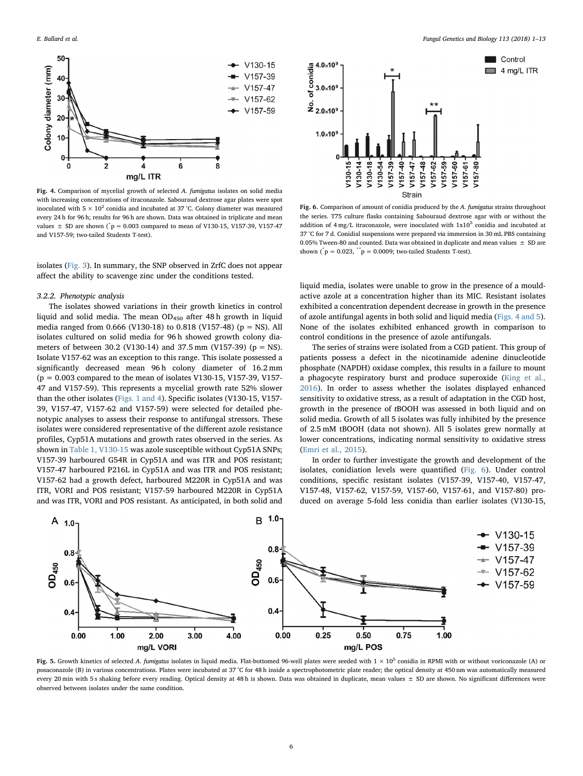<span id="page-5-0"></span>

Fig. 4. Comparison of mycelial growth of selected A. fumigatus isolates on solid media with increasing concentrations of itraconazole. Sabouraud dextrose agar plates were spot inoculated with  $5 \times 10^2$  conidia and incubated at 37 °C. Colony diameter was measured every 24 h for 96 h; results for 96 h are shown. Data was obtained in triplicate and mean values  $\pm$  SD are shown ( $\degree$ p = 0.003 compared to mean of V130-15, V157-39, V157-47 and V157-59; two-tailed Students T-test).

isolates ([Fig. 3\)](#page-4-1). In summary, the SNP observed in ZrfC does not appear affect the ability to scavenge zinc under the conditions tested.

## 3.2.2. Phenotypic analysis

The isolates showed variations in their growth kinetics in control liquid and solid media. The mean  $OD_{450}$  after 48 h growth in liquid media ranged from 0.666 (V130-18) to 0.818 (V157-48) (p = NS). All isolates cultured on solid media for 96 h showed growth colony diameters of between 30.2 (V130-14) and 37.5 mm (V157-39) (p = NS). Isolate V157-62 was an exception to this range. This isolate possessed a significantly decreased mean 96 h colony diameter of 16.2 mm  $(p = 0.003$  compared to the mean of isolates V130-15, V157-39, V157-47 and V157-59). This represents a mycelial growth rate 52% slower than the other isolates ([Figs. 1 and 4\)](#page-3-1). Specific isolates (V130-15, V157- 39, V157-47, V157-62 and V157-59) were selected for detailed phenotypic analyses to assess their response to antifungal stressors. These isolates were considered representative of the different azole resistance profiles, Cyp51A mutations and growth rates observed in the series. As shown in [Table 1, V130-15](#page-2-0) was azole susceptible without Cyp51A SNPs; V157-39 harboured G54R in Cyp51A and was ITR and POS resistant; V157-47 harboured P216L in Cyp51A and was ITR and POS resistant; V157-62 had a growth defect, harboured M220R in Cyp51A and was ITR, VORI and POS resistant; V157-59 harboured M220R in Cyp51A and was ITR, VORI and POS resistant. As anticipated, in both solid and

<span id="page-5-1"></span>

Fig. 6. Comparison of amount of conidia produced by the A. fumigatus strains throughout the series. T75 culture flasks containing Sabouraud dextrose agar with or without the addition of  $4 \text{ mg/L}$  itraconazole, were inoculated with  $1x10^5$  conidia and incubated at 37 °C for 7 d. Conidial suspensions were prepared via immersion in 30 mL PBS containing 0.05% Tween-80 and counted. Data was obtained in duplicate and mean values  $\pm$  SD are shown  $(\rho^* = 0.023, \rho^* = 0.0009;$  two-tailed Students T-test).

liquid media, isolates were unable to grow in the presence of a mouldactive azole at a concentration higher than its MIC. Resistant isolates exhibited a concentration dependent decrease in growth in the presence of azole antifungal agents in both solid and liquid media [\(Figs. 4 and 5](#page-5-0)). None of the isolates exhibited enhanced growth in comparison to control conditions in the presence of azole antifungals.

The series of strains were isolated from a CGD patient. This group of patients possess a defect in the nicotinamide adenine dinucleotide phosphate (NAPDH) oxidase complex, this results in a failure to mount a phagocyte respiratory burst and produce superoxide ([King et al.,](#page-11-22) [2016\)](#page-11-22). In order to assess whether the isolates displayed enhanced sensitivity to oxidative stress, as a result of adaptation in the CGD host, growth in the presence of tBOOH was assessed in both liquid and on solid media. Growth of all 5 isolates was fully inhibited by the presence of 2.5 mM tBOOH (data not shown). All 5 isolates grew normally at lower concentrations, indicating normal sensitivity to oxidative stress ([Emri et al., 2015\)](#page-11-23).

In order to further investigate the growth and development of the isolates, conidiation levels were quantified [\(Fig. 6](#page-5-1)). Under control conditions, specific resistant isolates (V157-39, V157-40, V157-47, V157-48, V157-62, V157-59, V157-60, V157-61, and V157-80) produced on average 5-fold less conidia than earlier isolates (V130-15,



Fig. 5. Growth kinetics of selected A. fumigatus isolates in liquid media. Flat-bottomed 96-well plates were seeded with  $1 \times 10^5$  conidia in RPMI with or without voriconazole (A) or posaconazole (B) in various concentrations. Plates were incubated at 37 °C for 48 h inside a spectrophotometric plate reader; the optical density at 450 nm was automatically measured every 20 min with 5 s shaking before every reading. Optical density at 48 h is shown. Data was obtained in duplicate, mean values  $\pm$  SD are shown. No significant differences were observed between isolates under the same condition.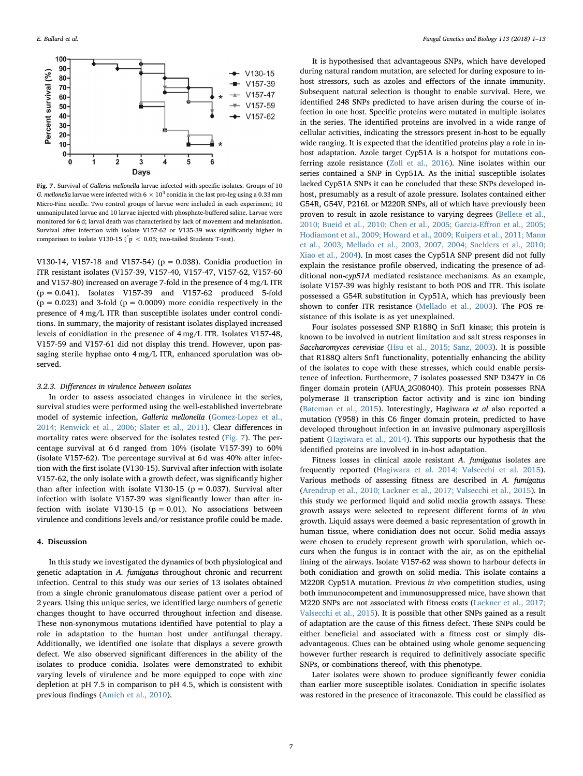<span id="page-6-0"></span>

Fig. 7. Survival of Galleria mellonella larvae infected with specific isolates. Groups of 10 G. mellonella larvae were infected with  $6 \times 10^3$  conidia in the last pro-leg using a 0.33 mm Micro-Fine needle. Two control groups of larvae were included in each experiment; 10 unmanipulated larvae and 10 larvae injected with phosphate-buffered saline. Larvae were monitored for 6 d; larval death was characterised by lack of movement and melanisation. Survival after infection with isolate V157-62 or V135-39 was significantly higher in comparison to isolate V130-15 ( $\degree$ p < 0.05; two-tailed Students T-test).

V130-14, V157-18 and V157-54) ( $p = 0.038$ ). Conidia production in ITR resistant isolates (V157-39, V157-40, V157-47, V157-62, V157-60 and V157-80) increased on average 7-fold in the presence of 4 mg/L ITR  $(p = 0.041)$ . Isolates V157-39 and V157-62 produced 5-fold  $(p = 0.023)$  and 3-fold  $(p = 0.0009)$  more conidia respectively in the presence of 4 mg/L ITR than susceptible isolates under control conditions. In summary, the majority of resistant isolates displayed increased levels of conidiation in the presence of 4 mg/L ITR. Isolates V157-48, V157-59 and V157-61 did not display this trend. However, upon passaging sterile hyphae onto 4 mg/L ITR, enhanced sporulation was observed.

### 3.2.3. Differences in virulence between isolates

In order to assess associated changes in virulence in the series, survival studies were performed using the well-established invertebrate model of systemic infection, Galleria mellonella [\(Gomez-Lopez et al.,](#page-11-19) [2014; Renwick et al., 2006; Slater et al., 2011](#page-11-19)). Clear differences in mortality rates were observed for the isolates tested ([Fig. 7](#page-6-0)). The percentage survival at 6 d ranged from 10% (isolate V157-39) to 60% (isolate V157-62). The percentage survival at 6 d was 40% after infection with the first isolate (V130-15). Survival after infection with isolate V157-62, the only isolate with a growth defect, was significantly higher than after infection with isolate V130-15 ( $p = 0.037$ ). Survival after infection with isolate V157-39 was significantly lower than after infection with isolate V130-15 ( $p = 0.01$ ). No associations between virulence and conditions levels and/or resistance profile could be made.

### 4. Discussion

In this study we investigated the dynamics of both physiological and genetic adaptation in A. fumigatus throughout chronic and recurrent infection. Central to this study was our series of 13 isolates obtained from a single chronic granulomatous disease patient over a period of 2 years. Using this unique series, we identified large numbers of genetic changes thought to have occurred throughout infection and disease. These non-synonymous mutations identified have potential to play a role in adaptation to the human host under antifungal therapy. Additionally, we identified one isolate that displays a severe growth defect. We also observed significant differences in the ability of the isolates to produce conidia. Isolates were demonstrated to exhibit varying levels of virulence and be more equipped to cope with zinc depletion at pH 7.5 in comparison to pH 4.5, which is consistent with previous findings [\(Amich et al., 2010\)](#page-10-9).

It is hypothesised that advantageous SNPs, which have developed during natural random mutation, are selected for during exposure to inhost stressors, such as azoles and effectors of the innate immunity. Subsequent natural selection is thought to enable survival. Here, we identified 248 SNPs predicted to have arisen during the course of infection in one host. Specific proteins were mutated in multiple isolates in the series. The identified proteins are involved in a wide range of cellular activities, indicating the stressors present in-host to be equally wide ranging. It is expected that the identified proteins play a role in inhost adaptation. Azole target Cyp51A is a hotspot for mutations conferring azole resistance [\(Zoll et al., 2016](#page-12-2)). Nine isolates within our series contained a SNP in Cyp51A. As the initial susceptible isolates lacked Cyp51A SNPs it can be concluded that these SNPs developed inhost, presumably as a result of azole pressure. Isolates contained either G54R, G54V, P216L or M220R SNPs, all of which have previously been proven to result in azole resistance to varying degrees ([Bellete](#page-10-11) et al., [2010; Bueid et al., 2010; Chen et al., 2005; Garcia-E](#page-10-11)ffron et al., 2005; [Hodiamont et al., 2009; Howard et al., 2009; Kuipers et al., 2011; Mann](#page-10-11) [et al., 2003; Mellado et al., 2003, 2007, 2004; Snelders et al., 2010;](#page-10-11) [Xiao et al., 2004\)](#page-10-11). In most cases the Cyp51A SNP present did not fully explain the resistance profile observed, indicating the presence of additional non-cyp51A mediated resistance mechanisms. As an example, isolate V157-39 was highly resistant to both POS and ITR. This isolate possessed a G54R substitution in Cyp51A, which has previously been shown to confer ITR resistance [\(Mellado et al., 2003\)](#page-11-24). The POS resistance of this isolate is as yet unexplained.

Four isolates possessed SNP R188Q in Snf1 kinase; this protein is known to be involved in nutrient limitation and salt stress responses in Saccharomyces cerevisiae ([Hsu et al., 2015; Sanz, 2003](#page-11-25)). It is possible that R188Q alters Snf1 functionality, potentially enhancing the ability of the isolates to cope with these stresses, which could enable persistence of infection. Furthermore, 7 isolates possessed SNP D347Y in C6 finger domain protein (AFUA\_2G08040). This protein possesses RNA polymerase II transcription factor activity and is zinc ion binding ([Bateman et al., 2015\)](#page-10-12). Interestingly, Hagiwara et al also reported a mutation (Y958) in this C6 finger domain protein, predicted to have developed throughout infection in an invasive pulmonary aspergillosis patient [\(Hagiwara et al., 2014](#page-11-20)). This supports our hypothesis that the identified proteins are involved in in-host adaptation.

Fitness losses in clinical azole resistant A. fumigatus isolates are frequently reported ([Hagiwara et al. 2014; Valsecchi et al. 2015](#page-11-20)). Various methods of assessing fitness are described in A. fumigatus ([Arendrup et al., 2010; Lackner et al., 2017; Valsecchi et al., 2015\)](#page-10-13). In this study we performed liquid and solid media growth assays. These growth assays were selected to represent different forms of in vivo growth. Liquid assays were deemed a basic representation of growth in human tissue, where conidiation does not occur. Solid media assays were chosen to crudely represent growth with sporulation, which occurs when the fungus is in contact with the air, as on the epithelial lining of the airways. Isolate V157-62 was shown to harbour defects in both conidiation and growth on solid media. This isolate contains a M220R Cyp51A mutation. Previous in vivo competition studies, using both immunocompetent and immunosuppressed mice, have shown that M220 SNPs are not associated with fitness costs ([Lackner et al., 2017;](#page-11-11) [Valsecchi et al., 2015\)](#page-11-11). It is possible that other SNPs gained as a result of adaptation are the cause of this fitness defect. These SNPs could be either beneficial and associated with a fitness cost or simply disadvantageous. Clues can be obtained using whole genome sequencing however further research is required to definitively associate specific SNPs, or combinations thereof, with this phenotype.

Later isolates were shown to produce significantly fewer conidia than earlier more susceptible isolates. Conidiation in specific isolates was restored in the presence of itraconazole. This could be classified as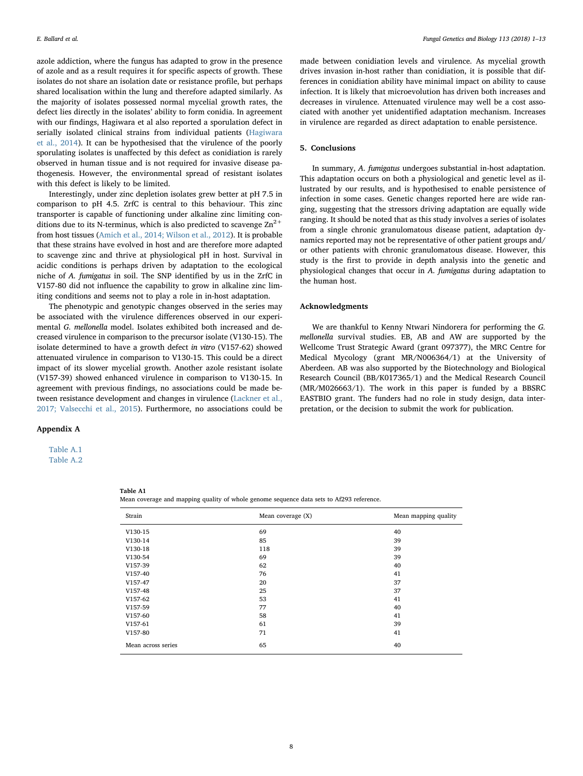azole addiction, where the fungus has adapted to grow in the presence of azole and as a result requires it for specific aspects of growth. These isolates do not share an isolation date or resistance profile, but perhaps shared localisation within the lung and therefore adapted similarly. As the majority of isolates possessed normal mycelial growth rates, the defect lies directly in the isolates' ability to form conidia. In agreement with our findings, Hagiwara et al also reported a sporulation defect in serially isolated clinical strains from individual patients ([Hagiwara](#page-11-20) [et al., 2014\)](#page-11-20). It can be hypothesised that the virulence of the poorly sporulating isolates is unaffected by this defect as conidiation is rarely observed in human tissue and is not required for invasive disease pathogenesis. However, the environmental spread of resistant isolates with this defect is likely to be limited.

Interestingly, under zinc depletion isolates grew better at pH 7.5 in comparison to pH 4.5. ZrfC is central to this behaviour. This zinc transporter is capable of functioning under alkaline zinc limiting conditions due to its N-terminus, which is also predicted to scavenge  $\text{Zn}^{2+}$ from host tissues [\(Amich et al., 2014; Wilson et al., 2012](#page-10-14)). It is probable that these strains have evolved in host and are therefore more adapted to scavenge zinc and thrive at physiological pH in host. Survival in acidic conditions is perhaps driven by adaptation to the ecological niche of A. fumigatus in soil. The SNP identified by us in the ZrfC in V157-80 did not influence the capability to grow in alkaline zinc limiting conditions and seems not to play a role in in-host adaptation.

The phenotypic and genotypic changes observed in the series may be associated with the virulence differences observed in our experimental G. mellonella model. Isolates exhibited both increased and decreased virulence in comparison to the precursor isolate (V130-15). The isolate determined to have a growth defect in vitro (V157-62) showed attenuated virulence in comparison to V130-15. This could be a direct impact of its slower mycelial growth. Another azole resistant isolate (V157-39) showed enhanced virulence in comparison to V130-15. In agreement with previous findings, no associations could be made between resistance development and changes in virulence ([Lackner et al.,](#page-11-11) [2017; Valsecchi et al., 2015\)](#page-11-11). Furthermore, no associations could be

<span id="page-7-0"></span>Table A1

# Appendix A

[Table A.1](#page-7-0) [Table A.2](#page-8-0)

made between conidiation levels and virulence. As mycelial growth drives invasion in-host rather than conidiation, it is possible that differences in conidiation ability have minimal impact on ability to cause infection. It is likely that microevolution has driven both increases and decreases in virulence. Attenuated virulence may well be a cost associated with another yet unidentified adaptation mechanism. Increases in virulence are regarded as direct adaptation to enable persistence.

## 5. Conclusions

In summary, A. fumigatus undergoes substantial in-host adaptation. This adaptation occurs on both a physiological and genetic level as illustrated by our results, and is hypothesised to enable persistence of infection in some cases. Genetic changes reported here are wide ranging, suggesting that the stressors driving adaptation are equally wide ranging. It should be noted that as this study involves a series of isolates from a single chronic granulomatous disease patient, adaptation dynamics reported may not be representative of other patient groups and/ or other patients with chronic granulomatous disease. However, this study is the first to provide in depth analysis into the genetic and physiological changes that occur in A. fumigatus during adaptation to the human host.

# Acknowledgments

We are thankful to Kenny Ntwari Nindorera for performing the G. mellonella survival studies. EB, AB and AW are supported by the Wellcome Trust Strategic Award (grant 097377), the MRC Centre for Medical Mycology (grant MR/N006364/1) at the University of Aberdeen. AB was also supported by the Biotechnology and Biological Research Council (BB/K017365/1) and the Medical Research Council (MR/M026663/1). The work in this paper is funded by a BBSRC EASTBIO grant. The funders had no role in study design, data interpretation, or the decision to submit the work for publication.

| Strain             | Mean coverage (X) | Mean mapping quality |
|--------------------|-------------------|----------------------|
| V130-15            | 69                | 40                   |
| V130-14            | 85                | 39                   |
| V130-18            | 118               | 39                   |
| V130-54            | 69                | 39                   |
| V157-39            | 62                | 40                   |
| V157-40            | 76                | 41                   |
| V157-47            | 20                | 37                   |
| V157-48            | 25                | 37                   |
| V157-62            | 53                | 41                   |
| V157-59            | 77                | 40                   |
| V157-60            | 58                | 41                   |
| V157-61            | 61                | 39                   |
| V157-80            | 71                | 41                   |
| Mean across series | 65                | 40                   |

Mean coverage and mapping quality of whole genome sequence data sets to Af293 reference.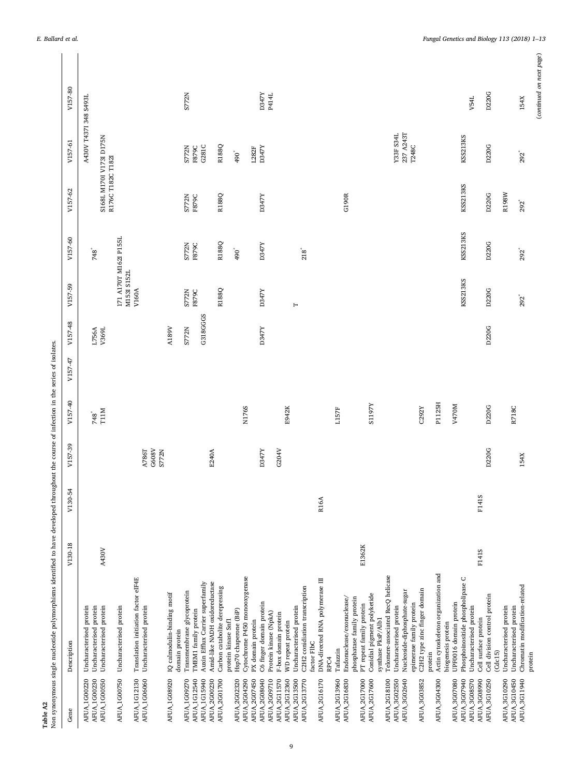<span id="page-8-0"></span>

| Table A2                                            | Non synonymous single nucleotide polymorphisms identified to have developed throughout the course of infection in the series of isolates. |         |                   |                         |              |         |                |                                      |           |                         |                        |                |
|-----------------------------------------------------|-------------------------------------------------------------------------------------------------------------------------------------------|---------|-------------------|-------------------------|--------------|---------|----------------|--------------------------------------|-----------|-------------------------|------------------------|----------------|
| Gene                                                | Description                                                                                                                               | V130-18 | $V130-54$         | V157-39                 | V157-40      | V157-47 | V157-48        | V157-59                              | V157-60   | V157-62                 | V157-61                | V157-80        |
| AFUA_1G00550<br>AFUA_1G00230<br><b>AFUA 1G00220</b> | Uncharacterised protein<br>Uncharacterised protein<br>Uncharacterised protein                                                             | A430V   |                   |                         | T11M<br>748* |         | L756A<br>V369L |                                      | 748*      | S168L M1701 V1731 D175N | A430V T437I 348 S493L  |                |
|                                                     |                                                                                                                                           |         |                   |                         |              |         |                |                                      |           | R176C T182C T182I       |                        |                |
| AFUA_1G00750                                        | Uncharacterised protein                                                                                                                   |         |                   |                         |              |         |                | 171 A170T M162I P155L<br>M153I S152L |           |                         |                        |                |
| AFUA_1G12130<br>AFUA_1G06060                        | Translation initiation factor eIF4E<br>Uncharacterised protein                                                                            |         |                   | A786T<br>G608V<br>S772N |              |         |                | V160A                                |           |                         |                        |                |
| AFUA_1G08920                                        | IQ calmodulin-binding motif                                                                                                               |         |                   |                         |              |         | A189V          |                                      |           |                         |                        |                |
| AFUA_1G09270                                        | Transmembrane glycoprotein<br>domain protein                                                                                              |         |                   |                         |              |         | S772N          | S772N                                | S772N     | S772N                   | S772N                  | S772N          |
| AFUA_1G15940<br>AFUA_1G12540                        | Auxin Efflux Carrier superfamily<br>TMEMI family protein                                                                                  |         |                   |                         |              |         | G318GGGS       | F879C                                | F879C     | F879C                   | G281C<br>F879C         |                |
| AFUA_2G00230<br>AFUA_2G01700                        | Amid-like NADH oxidoreductase<br>Carbon catabolite derepressing                                                                           |         |                   | E240A                   |              |         |                | R188Q                                | R188Q     | R188Q                   | R188Q                  |                |
|                                                     | protein kinase Snf1                                                                                                                       |         |                   |                         |              |         |                |                                      |           |                         |                        |                |
| AFUA_2G02320<br>AFUA_2G04290                        | Cytochrome P450 monooxygenase<br>Hsp70 chaperone (BiP)                                                                                    |         |                   |                         | N176S        |         |                |                                      | 490*      |                         | 490*                   |                |
| AFUA_2G07450                                        | PX domain protein                                                                                                                         |         |                   |                         |              |         |                |                                      |           |                         | $L282F$                |                |
| AFUA_2G09710<br>AFUA_2G08040                        | C6 finger domain protein<br>Protein kinase (NpkA)                                                                                         |         |                   | D347Y                   |              |         | D347Y          | D347Y                                | D347Y     | D347Y                   | D347Y                  | D347Y<br>P414L |
| AFUA_2G11570                                        | F-box domain protein                                                                                                                      |         |                   | G204V                   |              |         |                |                                      |           |                         |                        |                |
| AFUA_2G12360<br>AFUA_2G13500                        | Uncharacterised protein<br>WD repeat protein                                                                                              |         |                   |                         | E942K        |         |                | $\vdash$                             |           |                         |                        |                |
| AFUA_2G13770                                        | C2H2 conidiation transcription                                                                                                            |         |                   |                         |              |         |                |                                      | $218^{*}$ |                         |                        |                |
| AFUA_2G16170                                        | DNA-directed RNA polymerase III<br>factor FlbC                                                                                            |         | R <sub>16</sub> A |                         |              |         |                |                                      |           |                         |                        |                |
|                                                     | RPC4                                                                                                                                      |         |                   |                         |              |         |                |                                      |           |                         |                        |                |
| AFUA_2G13960<br>AFUA_2G16830                        | Endonuclease/exonuclease/<br>Tafazzin                                                                                                     |         |                   |                         | L157F        |         |                |                                      |           | G190R                   |                        |                |
|                                                     | phosphatase family protein                                                                                                                |         |                   |                         |              |         |                |                                      |           |                         |                        |                |
| AFUA_2G17000<br>AFUA_2G17600                        | PT repeat family protein                                                                                                                  | E1362K  |                   |                         | S1197Y       |         |                |                                      |           |                         |                        |                |
|                                                     | Conidial pigment polyketide<br>synthase PksP/Alb1                                                                                         |         |                   |                         |              |         |                |                                      |           |                         |                        |                |
| AFUA_2G18100                                        | Telomere-associated RecQ helicase                                                                                                         |         |                   |                         |              |         |                |                                      |           |                         |                        |                |
| AFUA_3G02550<br>AFUA_3G02640                        | Nucleoside-diphosphate-sugar<br>Uncharacterised protein                                                                                   |         |                   |                         |              |         |                |                                      |           |                         | 237 A243T<br>Y33F S34L |                |
|                                                     | epimerase family protein                                                                                                                  |         |                   |                         |              |         |                |                                      |           |                         | T248C                  |                |
| AFUA_3G03852                                        | C2H2 type zinc finger domain<br>protein                                                                                                   |         |                   |                         | C292Y        |         |                |                                      |           |                         |                        |                |
| AFUA_3G04300                                        | Actin cytoskeleton organization and                                                                                                       |         |                   |                         | P1125H       |         |                |                                      |           |                         |                        |                |
|                                                     | biogenesis protein                                                                                                                        |         |                   |                         |              |         |                |                                      |           |                         |                        |                |
| AFUA_3G07080<br>AFUA_3G07940<br>AFUA_3G08570        | Phosphoinositide phospholipase C<br>UPF0016 domain protein<br>Uncharacterised protein                                                     |         |                   |                         | V470M        |         |                | KSS213KS                             | KSS213KS  | KSS213KS                | KSS213KS               | V54L           |
| AFUA_3G08990<br>AFUA_3G10250                        | Cell division control protein<br>Cell surface protein                                                                                     | F141S   | F141S             | D220G                   | D220G        |         | D220G          | D220G                                | D220G     | D220G                   | D220G                  | D220G          |
| AFUA_3G10290                                        | Uncharacterised protein<br>(Cdc15)                                                                                                        |         |                   |                         |              |         |                |                                      |           | R198W                   |                        |                |
| AFUA_3G10450<br>AFUA_3G11940                        | Chromatin modification-related<br>Uncharacterised protein                                                                                 |         |                   | 154X                    | R718C        |         |                | $292^{*}$                            | $292^{*}$ | $292^{*}$               | $292^{*}$              | 154X           |
|                                                     | protein                                                                                                                                   |         |                   |                         |              |         |                |                                      |           |                         |                        |                |

 $\left( {continued~on~next~page} \right)$ (continued on next page)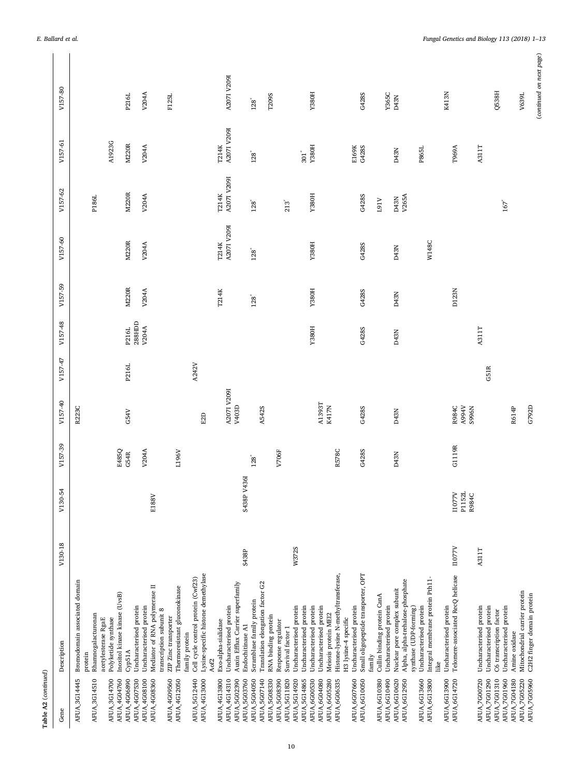| Table A2 (continued)                     |                                                                           |              |                  |               |                       |         |         |                    |             |             |                    |                          |
|------------------------------------------|---------------------------------------------------------------------------|--------------|------------------|---------------|-----------------------|---------|---------|--------------------|-------------|-------------|--------------------|--------------------------|
| Gene                                     | Description                                                               | V130-18      | $V130-54$        | V157-39       | V157-40               | V157-47 | V157-48 | V157-59            | V157-60     | V157-62     | V157-61            | V157-80                  |
| AFUA_3G14445                             | Bromodomain associated domain                                             |              |                  |               | R223C                 |         |         |                    |             |             |                    |                          |
| AFUA_3G14510                             | Rhamnogalacturonan<br>protein                                             |              |                  |               |                       |         |         |                    |             | P186L       |                    |                          |
|                                          | acetylesterase RgaE                                                       |              |                  |               |                       |         |         |                    |             |             |                    |                          |
| AFUA_3G14700<br>AFUA_4G04760             | Inositol kinase kinase (UvsB)<br>Polyketide synthase                      |              |                  | E485Q         |                       |         |         |                    |             |             | A1923G             |                          |
| AFUA <sub>4G06890</sub>                  | <b>Cyp51A</b>                                                             |              |                  | G54R          | G54V                  | P216L   | P216L   | M220R              | M220R       | M220R       | M220R              | P216L                    |
| AFUA_4G07530                             | Uncharacterised protein                                                   |              |                  |               |                       |         | 288HDD  |                    |             |             |                    |                          |
| AFUA_4G08100<br>AFUA_4G08360             | Mediator of RNA polymerase II<br>Uncharacterised protein                  |              | E188V            | V204A         |                       |         | V204A   | V204A              | V204A       | V204A       | V204A              | V204A                    |
|                                          | transcription subunit 8                                                   |              |                  |               |                       |         |         |                    |             |             |                    |                          |
| AFUA_4G09560<br>AFUA_4G12050             | Thermoresistant gluconokinase<br>ZIP Zinc transporter                     |              |                  | <b>N967</b>   |                       |         |         |                    |             |             |                    | F125L                    |
|                                          | family protein                                                            |              |                  |               |                       |         |         |                    |             |             |                    |                          |
| AFUA_5G12440<br>AFUA_4G13000             | Lysine-specific histone demethylase<br>Cell cycle control protein (Cwf23) |              |                  |               | E <sub>2</sub> D      | A242V   |         |                    |             |             |                    |                          |
|                                          | Aof <sub>2</sub>                                                          |              |                  |               |                       |         |         |                    |             |             |                    |                          |
| AFUA_4G13800                             | Exo-alpha-sialidase                                                       |              |                  |               |                       |         |         | T214K              | T214K       | T214K       | T214K              |                          |
| AFUA <sub>-4G14310</sub><br>AFUA_5G02390 | Auxin Efflux Carrier superfamily<br>Uncharacterised protein               |              |                  |               | A2071 V2091<br>V403D  |         |         |                    | A2071 V2091 | A2071 V2091 | A2071 V2091        | A2071 V2091              |
| AFUA_5G03760                             | Endochitinase A1                                                          | <b>S438P</b> | S438P V436I      |               |                       |         |         |                    |             |             |                    |                          |
| AFUA_5G04050                             | Scramblase family protein                                                 |              |                  | $128^{\circ}$ |                       |         |         | $128$ <sup>*</sup> | $128^\circ$ | $128^\circ$ | $128$ <sup>*</sup> | $128^{^{\mathrm{s}}}$    |
| AFUA_5G07140                             | Translation elongation factor G2                                          |              |                  |               | A542S                 |         |         |                    |             |             |                    |                          |
| AFUA <sub>-5G08330</sub><br>AFUA_5G08390 | RNA binding protein<br>Response regulator                                 |              |                  | V706F         |                       |         |         |                    |             |             |                    | T209S                    |
| <b>AFUA_5G11820</b>                      | Survival factor 1                                                         |              |                  |               |                       |         |         |                    |             | $213^{*}$   |                    |                          |
| AFUA_5G14920                             | Uncharacterised protein                                                   | W372S        |                  |               |                       |         |         |                    |             |             |                    |                          |
| AFUA_5G14865                             | Uncharacterised protein                                                   |              |                  |               |                       |         |         |                    |             |             | $301^{*}$          |                          |
| AFUA_6G00530                             | Uncharacterised protein                                                   |              |                  |               |                       |         | Y380H   | Y380H              | Y380H       | Y380H       | Y380H              | <b>Y380H</b>             |
| AFUA_6G04080<br>AFUA_6G05280             | Uncharacterised protein                                                   |              |                  |               | A1393T<br>K417N       |         |         |                    |             |             |                    |                          |
| AFUA_6G06335                             | Histone-lysine N-methyltransferase,<br>Meiosis protein MEI2               |              |                  | R578C         |                       |         |         |                    |             |             |                    |                          |
|                                          | H3 lysine-4 specific                                                      |              |                  |               |                       |         |         |                    |             |             |                    |                          |
| AFUA_6G07660                             | Uncharacterised protein                                                   |              |                  |               |                       |         |         |                    |             |             | E169K              |                          |
| AFUA_6G10050                             | Small oligopeptide transporter, OPT                                       |              |                  | G428S         | G428S                 |         | G428S   | G428S              | G428S       | G428S       | G428S              | G428S                    |
|                                          | family                                                                    |              |                  |               |                       |         |         |                    |             |             |                    |                          |
| AFUA_6G10490<br>AFUA_6G10380             | Cullin binding protein CanA<br>Uncharacterised protein                    |              |                  |               |                       |         |         |                    |             | VI67        |                    | Y365C                    |
| AFUA_6G10620                             | Nuclear pore complex subunit                                              |              |                  | D43N          | D43N                  |         | D43N    | D43N               | D43N        | D43N        | D43N               | D43N                     |
| AFUA_6G12950                             | Alpha, alpha-trehalose-phosphate                                          |              |                  |               |                       |         |         |                    |             | V265A       |                    |                          |
|                                          | synthase (UDP-forming)                                                    |              |                  |               |                       |         |         |                    |             |             |                    |                          |
| AFUA_6G13660<br>AFUA_6G13800             | Integral membrane protein Pth11-<br>Uncharacterised protein               |              |                  |               |                       |         |         |                    | W148C       |             | P865L              |                          |
|                                          | like                                                                      |              |                  |               |                       |         |         |                    |             |             |                    |                          |
| AFUA_6G13900                             | Uncharacterised protein                                                   |              |                  |               |                       |         |         |                    |             |             |                    | K413N                    |
| AFUA_6G14720                             | Telomere-associated RecQ helicase                                         | 11077V       | P1152L<br>I1077V | G1119R        | <b>AP66V</b><br>R984C |         |         | D123N              |             |             | T969A              |                          |
| AFUA_7G00720                             | Uncharacterised protein                                                   | A311T        | R984C            |               | S996N                 |         | A311T   |                    |             |             | A311T              |                          |
| AFUA_7G01290                             | Uncharacterised protein                                                   |              |                  |               |                       | G51R    |         |                    |             |             |                    |                          |
| AFUA <sub>Z</sub> G01310                 | C6 transcription factor                                                   |              |                  |               |                       |         |         |                    |             |             |                    | Q538H                    |
| AFUA_7G01960<br>AFUA_7G04180             | Uncharacterised protein<br>Amine oxidase                                  |              |                  |               | R614P                 |         |         |                    |             | 167         |                    |                          |
| AFUA_7G05220                             | Mitochondrial carrier protein                                             |              |                  |               |                       |         |         |                    |             |             |                    | V639L                    |
| AFUA_7G05960                             | C2H2 finger domain protein                                                |              |                  |               | G792D                 |         |         |                    |             |             |                    | (continued on next page) |

E. Ballard et al. *Fungal Genetics and Biology 113 (2018) 1–13*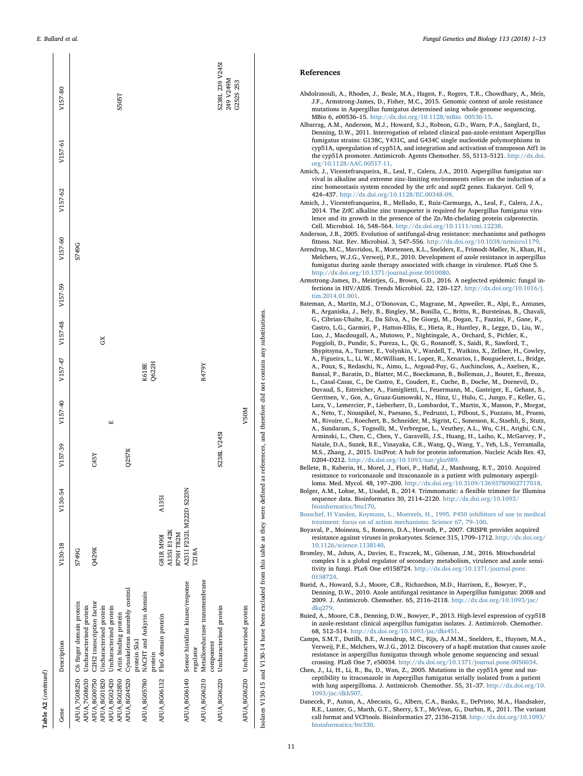Table A2

(continued)

Table A2 (continued)

- <span id="page-10-10"></span>Abdolrasouli, A., Rhodes, J., Beale, M.A., Hagen, F., Rogers, T.R., Chowdhary, A., Meis, J.F., Armstrong-James, D., Fisher, M.C., 2015. Genomic context of azole resistance mutations in Aspergillus fumigatus determined using whole-genome sequencing. MBio 6, e00536–15. <http://dx.doi.org/10.1128/mBio. 00536-15>.
- <span id="page-10-2"></span>Albarrag, A.M., Anderson, M.J., Howard, S.J., Robson, G.D., Warn, P.A., Sanglard, D., Denning, D.W., 2011. Interrogation of related clinical pan-azole-resistant Aspergillus fumigatus strains: G138C, Y431C, and G434C single nucleotide polymorphisms in cyp51A, upregulation of cyp51A, and integration and activation of transposon Atf1 in the cyp51A promoter. Antimicrob. Agents Chemother. 55, 5113–5121. [http://dx.doi.](http://dx.doi.org/10.1128/AAC.00517-11) [org/10.1128/AAC.00517-11.](http://dx.doi.org/10.1128/AAC.00517-11)
- <span id="page-10-9"></span>Amich, J., Vicentefranqueira, R., Leal, F., Calera, J.A., 2010. Aspergillus fumigatus survival in alkaline and extreme zinc-limiting environments relies on the induction of a zinc homeostasis system encoded by the zrfc and aspf2 genes. Eukaryot. Cell 9, 424–437. [http://dx.doi.org/10.1128/EC.00348-09.](http://dx.doi.org/10.1128/EC.00348-09)
- <span id="page-10-14"></span>Amich, J., Vicentefranqueira, R., Mellado, E., Ruiz-Carmuega, A., Leal, F., Calera, J.A., 2014. The ZrfC alkaline zinc transporter is required for Aspergillus fumigatus virulence and its growth in the presence of the Zn/Mn-chelating protein calprotectin. Cell. Microbiol. 16, 548–564. <http://dx.doi.org/10.1111/cmi.12238>.
- <span id="page-10-5"></span>Anderson, J.B., 2005. Evolution of antifungal-drug resistance: mechanisms and pathogen fitness. Nat. Rev. Microbiol. 3, 547–556. [http://dx.doi.org/10.1038/nrmicro1179.](http://dx.doi.org/10.1038/nrmicro1179)
- <span id="page-10-13"></span>Arendrup, M.C., Mavridou, E., Mortensen, K.L., Snelders, E., Frimodt-Møller, N., Khan, H., Melchers, W.J.G., Verweij, P.E., 2010. Development of azole resistance in aspergillus fumigatus during azole therapy associated with change in virulence. PLoS One 5. <http://dx.doi.org/10.1371/journal.pone.0010080>.
- <span id="page-10-0"></span>Armstrong-James, D., Meintjes, G., Brown, G.D., 2016. A neglected epidemic: fungal infections in HIV/AIDS. Trends Microbiol. 22, 120–127. [http://dx.doi.org/10.1016/j.](http://dx.doi.org/10.1016/j.tim.2014.01.001) [tim.2014.01.001.](http://dx.doi.org/10.1016/j.tim.2014.01.001)
- <span id="page-10-12"></span>Bateman, A., Martin, M.J., O'Donovan, C., Magrane, M., Apweiler, R., Alpi, E., Antunes, R., Arganiska, J., Bely, B., Bingley, M., Bonilla, C., Britto, R., Bursteinas, B., Chavali, G., Cibrian-Uhalte, E., Da Silva, A., De Giorgi, M., Dogan, T., Fazzini, F., Gane, P., Castro, L.G., Garmiri, P., Hatton-Ellis, E., Hieta, R., Huntley, R., Legge, D., Liu, W., Luo, J., Macdougall, A., Mutowo, P., Nightingale, A., Orchard, S., Pichler, K., Poggioli, D., Pundir, S., Pureza, L., Qi, G., Rosanoff, S., Saidi, R., Sawford, T., Shypitsyna, A., Turner, E., Volynkin, V., Wardell, T., Watkins, X., Zellner, H., Cowley, A., Figueira, L., Li, W., McWilliam, H., Lopez, R., Xenarios, I., Bougueleret, L., Bridge, A., Poux, S., Redaschi, N., Aimo, L., Argoud-Puy, G., Auchincloss, A., Axelsen, K., Bansal, P., Baratin, D., Blatter, M.C., Boeckmann, B., Bolleman, J., Boutet, E., Breuza, L., Casal-Casas, C., De Castro, E., Coudert, E., Cuche, B., Doche, M., Dornevil, D., Duvaud, S., Estreicher, A., Famiglietti, L., Feuermann, M., Gasteiger, E., Gehant, S., Gerritsen, V., Gos, A., Gruaz-Gumowski, N., Hinz, U., Hulo, C., Jungo, F., Keller, G., Lara, V., Lemercier, P., Lieberherr, D., Lombardot, T., Martin, X., Masson, P., Morgat, A., Neto, T., Nouspikel, N., Paesano, S., Pedruzzi, I., Pilbout, S., Pozzato, M., Pruess, M., Rivoire, C., Roechert, B., Schneider, M., Sigrist, C., Sonesson, K., Staehli, S., Stutz, A., Sundaram, S., Tognolli, M., Verbregue, L., Veuthey, A.L., Wu, C.H., Arighi, C.N., Arminski, L., Chen, C., Chen, Y., Garavelli, J.S., Huang, H., Laiho, K., McGarvey, P., Natale, D.A., Suzek, B.E., Vinayaka, C.R., Wang, Q., Wang, Y., Yeh, L.S., Yerramalla, M.S., Zhang, J., 2015. UniProt: A hub for protein information. Nucleic Acids Res. 43, D204–D212. [http://dx.doi.org/10.1093/nar/gku989.](http://dx.doi.org/10.1093/nar/gku989) Bellete, B., Raberin, H., Morel, J., Flori, P., Hafid, J., Manhsung, R.T., 2010. Acquired
- <span id="page-10-11"></span>resistance to voriconazole and itraconazole in a patient with pulmonary aspergilloma. Med. Mycol. 48, 197–200. [http://dx.doi.org/10.3109/13693780902717018.](http://dx.doi.org/10.3109/13693780902717018)
- <span id="page-10-6"></span>Bolger, A.M., Lohse, M., Usadel, B., 2014. Trimmomatic: a flexible trimmer for Illumina sequence data. Bioinformatics 30, 2114–2120. [http://dx.doi.org/10.1093/](http://dx.doi.org/10.1093/bioinformatics/btu170) [bioinformatics/btu170.](http://dx.doi.org/10.1093/bioinformatics/btu170)
- <span id="page-10-1"></span>[Bosschef, H Vanden, Koymans, L., Moereels, H., 1995. P450 inhibitors of use in medical](http://refhub.elsevier.com/S1087-1845(18)30025-2/h0055) [treatment: focus on of action mechanisms. Science 67, 79](http://refhub.elsevier.com/S1087-1845(18)30025-2/h0055)–100.
- <span id="page-10-8"></span>Boyaval, P., Moineau, S., Romero, D.A., Horvath, P., 2007. CRISPR provides acquired resistance against viruses in prokaryotes. Science 315, 1709–1712. [http://dx.doi.org/](http://dx.doi.org/10.1126/science.1138140) [10.1126/science.1138140](http://dx.doi.org/10.1126/science.1138140).
- <span id="page-10-4"></span>Bromley, M., Johns, A., Davies, E., Fraczek, M., Gilsenan, J.M., 2016. Mitochondrial complex I is a global regulator of secondary metabolism, virulence and azole sensitivity in fungi. PLoS One e0158724. [http://dx.doi.org/10.1371/journal.pone.](http://dx.doi.org/10.1371/journal.pone.0158724) [0158724.](http://dx.doi.org/10.1371/journal.pone.0158724)
- Bueid, A., Howard, S.J., Moore, C.B., Richardson, M.D., Harrison, E., Bowyer, P., Denning, D.W., 2010. Azole antifungal resistance in Aspergillus fumigatus: 2008 and 2009. J. Antimicrob. Chemother. 65, 2116–2118. [http://dx.doi.org/10.1093/jac/](http://dx.doi.org/10.1093/jac/dkq279) [dkq279.](http://dx.doi.org/10.1093/jac/dkq279)
- Buied, A., Moore, C.B., Denning, D.W., Bowyer, P., 2013. High-level expression of cyp51B in azole-resistant clinical aspergillus fumigatus isolates. J. Antimicrob. Chemother. 68, 512–514. [http://dx.doi.org/10.1093/jac/dks451.](http://dx.doi.org/10.1093/jac/dks451)
- <span id="page-10-3"></span>Camps, S.M.T., Dutilh, B.E., Arendrup, M.C., Rijs, A.J.M.M., Snelders, E., Huynen, M.A., Verweij, P.E., Melchers, W.J.G., 2012. Discovery of a hapE mutation that causes azole resistance in aspergillus fumigatus through whole genome sequencing and sexual crossing. PLoS One 7, e50034. [http://dx.doi.org/10.1371/journal.pone.0050034.](http://dx.doi.org/10.1371/journal.pone.0050034)
- Chen, J., Li, H., Li, R., Bu, D., Wan, Z., 2005. Mutations in the cyp51A gene and susceptibility to itraconazole in Aspergillus fumigatus serially isolated from a patient with lung aspergilloma. J. Antimicrob. Chemother. 55, 31–37. [http://dx.doi.org/10.](http://dx.doi.org/10.1093/jac/dkh507) [1093/jac/dkh507.](http://dx.doi.org/10.1093/jac/dkh507)
- <span id="page-10-7"></span>Danecek, P., Auton, A., Abecasis, G., Albers, C.A., Banks, E., DePristo, M.A., Handsaker, R.E., Lunter, G., Marth, G.T., Sherry, S.T., McVean, G., Durbin, R., 2011. The variant call format and VCFtools. Bioinformatics 27, 2156–2158. [http://dx.doi.org/10.1093/](http://dx.doi.org/10.1093/bioinformatics/btr330) [bioinformatics/btr330](http://dx.doi.org/10.1093/bioinformatics/btr330).

| Gene                         | Description                                                                                                                                                                                                                                                                                                                                                                                                                                                                                         | V130-18                                                                                                       | V130-54 | V157-39                    | V157-40 | V157-47                 | V157-48 | V157-59 | V157-60 | V157-62 | V157-61 | V157-80                                   |
|------------------------------|-----------------------------------------------------------------------------------------------------------------------------------------------------------------------------------------------------------------------------------------------------------------------------------------------------------------------------------------------------------------------------------------------------------------------------------------------------------------------------------------------------|---------------------------------------------------------------------------------------------------------------|---------|----------------------------|---------|-------------------------|---------|---------|---------|---------|---------|-------------------------------------------|
| AFUA_8G00750<br>AFUA 8G01820 | AFUA_8G06210 Metalloreductase transmembrane<br>AFUA_8G06140 Sensor histidine kinase/response<br>AFUA_8G04520 Cytoskeleton assembly control<br>AFUA_8G05780 NACHT and Ankyrin domain<br>C2H2 transcription factor<br>AFUA_7G08250 C6 finger domain protein<br>Uncharacterised protein<br>AFUA_7G08630 Uncharacterised protein<br>AFUA_8G02420 Uncharacterised protein<br>AFUA_8G02850 Actin binding protein<br>AFUA_8G06132 FluG domain protein<br>protein Sla1<br>component<br>regulator<br>protein | A2311 F232L M222D S223N<br>A135I E142K<br>R79H T82M<br>G81R <sub>M90I</sub><br>Q429K<br>S749G<br><b>T218A</b> | A135I   | Q257K<br>C <sub>45</sub> Y | 띠       | Q622H<br>K618E<br>R479Y | $\Im$   |         | S749G   |         |         | S505T                                     |
|                              | AFUA_8G06230 Uncharacterised protein<br>AFUA_8G06220 Uncharacterised protein                                                                                                                                                                                                                                                                                                                                                                                                                        |                                                                                                               |         | S238L V245I                | V50M    |                         |         |         |         |         |         | S238L 239 V245I<br>249 V249M<br>G252S 253 |
|                              | solates V130-15 and V130-14 have been excluded from this table as they were defined as references, and therefore did not contain any substitutions.                                                                                                                                                                                                                                                                                                                                                 |                                                                                                               |         |                            |         |                         |         |         |         |         |         |                                           |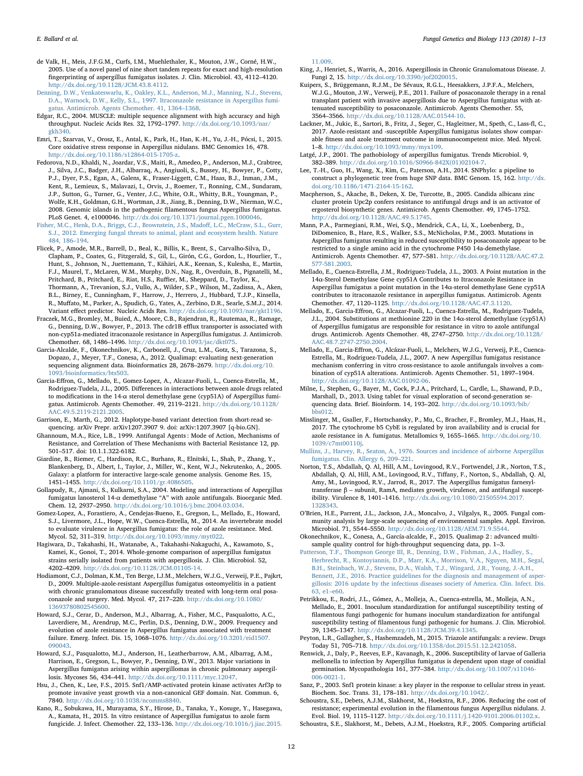- <span id="page-11-12"></span>de Valk, H., Meis, J.F.G.M., Curfs, I.M., Muehlethaler, K., Mouton, J.W., Corné, H.W., 2005. Use of a novel panel of nine short tandem repeats for exact and high-resolution fingerprinting of aspergillus fumigatus isolates. J. Clin. Microbiol. 43, 4112–4120. [http://dx.doi.org/10.1128/JCM.43.8.4112.](http://dx.doi.org/10.1128/JCM.43.8.4112)
- <span id="page-11-8"></span>[Denning, D.W., Venkateswarlu, K., Oakley, K.L., Anderson, M.J., Manning, N.J., Stevens,](http://refhub.elsevier.com/S1087-1845(18)30025-2/h0100) [D.A., Warnock, D.W., Kelly, S.L., 1997. Itraconazole resistance in Aspergillus fumi](http://refhub.elsevier.com/S1087-1845(18)30025-2/h0100)[gatus. Antimicrob. Agents Chemother. 41, 1364](http://refhub.elsevier.com/S1087-1845(18)30025-2/h0100)–1368.
- <span id="page-11-18"></span>Edgar, R.C., 2004. MUSCLE: multiple sequence alignment with high accuracy and high throughput. Nucleic Acids Res. 32, 1792–1797. [http://dx.doi.org/10.1093/nar/](http://dx.doi.org/10.1093/nar/gkh340) [gkh340.](http://dx.doi.org/10.1093/nar/gkh340)
- <span id="page-11-23"></span>Emri, T., Szarvas, V., Orosz, E., Antal, K., Park, H., Han, K.-H., Yu, J.-H., Pócsi, I., 2015. Core oxidative stress response in Aspergillus nidulans. BMC Genomics 16, 478. <http://dx.doi.org/10.1186/s12864-015-1705-z>.
- <span id="page-11-6"></span>Fedorova, N.D., Khaldi, N., Joardar, V.S., Maiti, R., Amedeo, P., Anderson, M.J., Crabtree, J., Silva, J.C., Badger, J.H., Albarraq, A., Angiuoli, S., Bussey, H., Bowyer, P., Cotty, P.J., Dyer, P.S., Egan, A., Galens, K., Fraser-Liggett, C.M., Haas, B.J., Inman, J.M., Kent, R., Lemieux, S., Malavazi, I., Orvis, J., Roemer, T., Ronning, C.M., Sundaram, J.P., Sutton, G., Turner, G., Venter, J.C., White, O.R., Whitty, B.R., Youngman, P., Wolfe, K.H., Goldman, G.H., Wortman, J.R., Jiang, B., Denning, D.W., Nierman, W.C., 2008. Genomic islands in the pathogenic filamentous fungus Aspergillus fumigatus. PLoS Genet. 4, e1000046. <http://dx.doi.org/10.1371/journal.pgen.1000046>.
- [Fisher, M.C., Henk, D.A., Briggs, C.J., Brownstein, J.S., Mado](http://refhub.elsevier.com/S1087-1845(18)30025-2/h0120)ff, L.C., McCraw, S.L., Gurr, [S.J., 2012. Emerging fungal threats to animal, plant and ecosystem health. Nature](http://refhub.elsevier.com/S1087-1845(18)30025-2/h0120) [484, 186](http://refhub.elsevier.com/S1087-1845(18)30025-2/h0120)–194.
- <span id="page-11-16"></span>Flicek, P., Amode, M.R., Barrell, D., Beal, K., Billis, K., Brent, S., Carvalho-Silva, D., Clapham, P., Coates, G., Fitzgerald, S., Gil, L., Girón, C.G., Gordon, L., Hourlier, T., Hunt, S., Johnson, N., Juettemann, T., Kähäri, A.K., Keenan, S., Kulesha, E., Martin, F.J., Maurel, T., McLaren, W.M., Murphy, D.N., Nag, R., Overduin, B., Pignatelli, M., Pritchard, B., Pritchard, E., Riat, H.S., Ruffier, M., Sheppard, D., Taylor, K.,
- Thormann, A., Trevanion, S.J., Vullo, A., Wilder, S.P., Wilson, M., Zadissa, A., Aken, B.L., Birney, E., Cunningham, F., Harrow, J., Herrero, J., Hubbard, T.J.P., Kinsella, R., Muffato, M., Parker, A., Spudich, G., Yates, A., Zerbino, D.R., Searle, S.M.J., 2014. Variant effect predictor. Nucleic Acids Res. [http://dx.doi.org/10.1093/nar/gkt1196.](http://dx.doi.org/10.1093/nar/gkt1196)
- <span id="page-11-10"></span>Fraczek, M.G., Bromley, M., Buied, A., Moore, C.B., Rajendran, R., Rautemaa, R., Ramage, G., Denning, D.W., Bowyer, P., 2013. The cdr1B efflux transporter is associated with non-cyp51a-mediated itraconazole resistance in Aspergillus fumigatus. J. Antimicrob. Chemother. 68, 1486–1496. <http://dx.doi.org/10.1093/jac/dkt075>.
- <span id="page-11-14"></span>Garcia-Alcalde, F., Okonechnikov, K., Carbonell, J., Cruz, L.M., Gotz, S., Tarazona, S., Dopazo, J., Meyer, T.F., Conesa, A., 2012. Qualimap: evaluating next-generation sequencing alignment data. Bioinformatics 28, 2678–2679. [http://dx.doi.org/10.](http://dx.doi.org/10.1093/bioinformatics/bts503) [1093/bioinformatics/bts503.](http://dx.doi.org/10.1093/bioinformatics/bts503)
- Garcia-Effron, G., Mellado, E., Gomez-Lopez, A., Alcazar-Fuoli, L., Cuenca-Estrella, M., Rodriguez-Tudela, J.L., 2005. Differences in interactions between azole drugs related to modifications in the 14-α sterol demethylase gene (cyp51A) of Aspergillus fumigatus. Antimicrob. Agents Chemother. 49, 2119–2121. [http://dx.doi.org/10.1128/](http://dx.doi.org/10.1128/AAC.49.5.2119-2121.2005) [AAC.49.5.2119-2121.2005](http://dx.doi.org/10.1128/AAC.49.5.2119-2121.2005).
- <span id="page-11-15"></span>Garrison, E., Marth, G., 2012. Haplotype-based variant detection from short-read sequencing. arXiv Prepr. arXiv1207.3907 9. doi: arXiv:1207.3907 [q-bio.GN].
- Ghannoum, M.A., Rice, L.B., 1999. Antifungal Agents : Mode of Action, Mechanisms of Resistance, and Correlation of These Mechanisms with Bacterial Resistance 12, pp. 501–517. doi: 10.1.1.322-6182.
- Giardine, B., Riemer, C., Hardison, R.C., Burhans, R., Elnitski, L., Shah, P., Zhang, Y., Blankenberg, D., Albert, I., Taylor, J., Miller, W., Kent, W.J., Nekrutenko, A., 2005. Galaxy: a platform for interactive large-scale genome analysis. Genome Res. 15, 1451–1455. [http://dx.doi.org/10.1101/gr.4086505.](http://dx.doi.org/10.1101/gr.4086505)
- <span id="page-11-4"></span>Gollapudy, R., Ajmani, S., Kulkarni, S.A., 2004. Modeling and interactions of Aspergillus fumigatus lanosterol 14-α demethylase "A" with azole antifungals. Bioorganic Med. Chem. 12, 2937–2950. [http://dx.doi.org/10.1016/j.bmc.2004.03.034.](http://dx.doi.org/10.1016/j.bmc.2004.03.034)
- <span id="page-11-19"></span>Gomez-Lopez, A., Forastiero, A., Cendejas-Bueno, E., Gregson, L., Mellado, E., Howard, S.J., Livermore, J.L., Hope, W.W., Cuenca-Estrella, M., 2014. An invertebrate model to evaluate virulence in Aspergillus fumigatus: the role of azole resistance. Med. Mycol. 52, 311–319. <http://dx.doi.org/10.1093/mmy/myt022>.
- <span id="page-11-20"></span>Hagiwara, D., Takahashi, H., Watanabe, A., Takahashi-Nakaguchi, A., Kawamoto, S., Kamei, K., Gonoi, T., 2014. Whole-genome comparison of aspergillus fumigatus strains serially isolated from patients with aspergillosis. J. Clin. Microbiol. 52, 4202–4209. [http://dx.doi.org/10.1128/JCM.01105-14.](http://dx.doi.org/10.1128/JCM.01105-14)
- Hodiamont, C.J., Dolman, K.M., Ten Berge, I.J.M., Melchers, W.J.G., Verweij, P.E., Pajkrt, D., 2009. Multiple-azole-resistant Aspergillus fumigatus osteomyelitis in a patient with chronic granulomatous disease successfully treated with long-term oral posaconazole and surgery. Med. Mycol. 47, 217–220. [http://dx.doi.org/10.1080/](http://dx.doi.org/10.1080/13693780802545600) [13693780802545600.](http://dx.doi.org/10.1080/13693780802545600)
- Howard, S.J., Cerar, D., Anderson, M.J., Albarrag, A., Fisher, M.C., Pasqualotto, A.C., Laverdiere, M., Arendrup, M.C., Perlin, D.S., Denning, D.W., 2009. Frequency and evolution of azole resistance in Aspergillus fumigatus associated with treatment failure. Emerg. Infect. Dis. 15, 1068–1076. [http://dx.doi.org/10.3201/eid1507.](http://dx.doi.org/10.3201/eid1507.090043) [090043](http://dx.doi.org/10.3201/eid1507.090043).
- <span id="page-11-7"></span>Howard, S.J., Pasqualotto, M.J., Anderson, H., Leatherbarrow, A.M., Albarrag, A.M., Harrison, E., Gregson, L., Bowyer, P., Denning, D.W., 2013. Major variations in Aspergillus fumigatus arising within aspergillomas in chronic pulmonary aspergillosis. Mycoses 56, 434–441. [http://dx.doi.org/10.1111/myc.12047.](http://dx.doi.org/10.1111/myc.12047)
- <span id="page-11-25"></span>Hsu, J., Chen, K., Lee, F.S., 2015. Snf1/AMP-activated protein kinase activates Arf3p to promote invasive yeast growth via a non-canonical GEF domain. Nat. Commun. 6, 7840. [http://dx.doi.org/10.1038/ncomms8840.](http://dx.doi.org/10.1038/ncomms8840)
- Kano, R., Sobukawa, H., Murayama, S.Y., Hirose, D., Tanaka, Y., Kosuge, Y., Hasegawa, A., Kamata, H., 2015. In vitro resistance of Aspergillus fumigatus to azole farm fungicide. J. Infect. Chemother. 22, 133–136. [http://dx.doi.org/10.1016/j.jiac.2015.](http://dx.doi.org/10.1016/j.jiac.2015.11.009)

[11.009](http://dx.doi.org/10.1016/j.jiac.2015.11.009).

- <span id="page-11-22"></span>King, J., Henriet, S., Warris, A., 2016. Aspergillosis in Chronic Granulomatous Disease. J. Fungi 2, 15. [http://dx.doi.org/10.3390/jof2020015.](http://dx.doi.org/10.3390/jof2020015)
- Kuipers, S., Brüggemann, R.J.M., De Sévaux, R.G.L., Heesakkers, J.P.F.A., Melchers, W.J.G., Mouton, J.W., Verweij, P.E., 2011. Failure of posaconazole therapy in a renal transplant patient with invasive aspergillosis due to Aspergillus fumigatus with attenuated susceptibility to posaconazole. Antimicrob. Agents Chemother. 55, 3564–3566. [http://dx.doi.org/10.1128/AAC.01544-10.](http://dx.doi.org/10.1128/AAC.01544-10)
- <span id="page-11-11"></span>Lackner, M., Jukic, E., Sartori, B., Fritz, J., Seger, C., Hagleitner, M., Speth, C., Lass-fl, C., 2017. Azole-resistant and -susceptible Aspergillus fumigatus isolates show comparable fitness and azole treatment outcome in immunocompetent mice. Med. Mycol. 1–8. [http://dx.doi.org/10.1093/mmy/myx109.](http://dx.doi.org/10.1093/mmy/myx109)
- <span id="page-11-2"></span>Latgé, J.P., 2001. The pathobiology of aspergillus fumigatus. Trends Microbiol. 9, 382–389. [http://dx.doi.org/10.1016/S0966-842X\(01\)02104-7](http://dx.doi.org/10.1016/S0966-842X(01)02104-7).
- <span id="page-11-17"></span>Lee, T.-H., Guo, H., Wang, X., Kim, C., Paterson, A.H., 2014. SNPhylo: a pipeline to construct a phylogenetic tree from huge SNP data. BMC Genom. 15, 162. [http://dx.](http://dx.doi.org/10.1186/1471-2164-15-162) [doi.org/10.1186/1471-2164-15-162](http://dx.doi.org/10.1186/1471-2164-15-162).
- <span id="page-11-21"></span>Macpherson, S., Akache, B., Deken, X. De, Turcotte, B., 2005. Candida albicans zinc cluster protein Upc2p confers resistance to antifungal drugs and is an activator of ergosterol biosynthetic genes. Antimicrob. Agents Chemother. 49, 1745–1752. <http://dx.doi.org/10.1128/AAC.49.5.1745>.
- Mann, P.A., Parmegiani, R.M., Wei, S.Q., Mendrick, C.A., Li, X., Loebenberg, D., DiDomenico, B., Hare, R.S., Walker, S.S., McNicholas, P.M., 2003. Mutations in Aspergillus fumigatus resulting in reduced susceptibility to posaconazole appear to be restricted to a single amino acid in the cytochrome P450 14a-demethylase. Antimicrob. Agents Chemother. 47, 577–581. [http://dx.doi.org/10.1128/AAC.47.2.](http://dx.doi.org/10.1128/AAC.47.2.577-581.2003) [577-581.2003](http://dx.doi.org/10.1128/AAC.47.2.577-581.2003).
- <span id="page-11-24"></span>Mellado, E., Cuenca-Estrella, J.M., Rodriguez-Tudela, J.L., 2003. A Point mutation in the 14α-Sterol Demethylase Gene cyp51A Contributes to Itraconazole Resistance in Aspergillus fumigatus a point mutation in the  $14\alpha$ -sterol demethylase Gene cyp51A contributes to itraconazole resistance in aspergillus fumigatus. Antimicrob. Agents Chemother. 47, 1120–1125. <http://dx.doi.org/10.1128/AAC.47.3.1120>.
- Mellado, E., Garcia-Effron, G., Alcazar-Fuoli, L., Cuenca-Estrella, M., Rodriguez-Tudela, J.L., 2004. Substitutions at methionine 220 in the 14α-sterol demethylase (cyp51A) of Aspergillus fumigatus are responsible for resistance in vitro to azole antifungal drugs. Antimicrob. Agents Chemother. 48, 2747–2750. [http://dx.doi.org/10.1128/](http://dx.doi.org/10.1128/AAC.48.7.2747-2750.2004) [AAC.48.7.2747-2750.2004](http://dx.doi.org/10.1128/AAC.48.7.2747-2750.2004).
- <span id="page-11-9"></span>Mellado, E., Garcia-Effron, G., Alcázar-Fuoli, L., Melchers, W.J.G., Verweij, P.E., Cuenca-Estrella, M., Rodriguez-Tudela, J.L., 2007. A new Aspergillus fumigatus resistance mechanism conferring in vitro cross-resistance to azole antifungals involves a combination of cyp51A alterations. Antimicrob. Agents Chemother. 51, 1897–1904. <http://dx.doi.org/10.1128/AAC.01092-06>.
- Milne, I., Stephen, G., Bayer, M., Cock, P.J.A., Pritchard, L., Cardle, L., Shawand, P.D., Marshall, D., 2013. Using tablet for visual exploration of second-generation sequencing data. Brief. Bioinform. 14, 193–202. [http://dx.doi.org/10.1093/bib/](http://dx.doi.org/10.1093/bib/bbs012) [bbs012.](http://dx.doi.org/10.1093/bib/bbs012)
- Misslinger, M., Gsaller, F., Hortschansky, P., Mu, C., Bracher, F., Bromley, M.J., Haas, H., 2017. The cytochrome b5 CybE is regulated by iron availability and is crucial for azole resistance in A. fumigatus. Metallomics 9, 1655–1665. [http://dx.doi.org/10.](http://dx.doi.org/10.1039/c7mt00110j) [1039/c7mt00110j.](http://dx.doi.org/10.1039/c7mt00110j)
- <span id="page-11-1"></span>[Mullins, J., Harvey, R., Seaton, A., 1976. Sources and incidence of airborne Aspergillus](http://refhub.elsevier.com/S1087-1845(18)30025-2/h0260) [fumigatus. Clin. Allergy 6, 209](http://refhub.elsevier.com/S1087-1845(18)30025-2/h0260)–221.
- Norton, T.S., Abdallah, Q. Al, Hill, A.M., Lovingood, R.V., Fortwendel, J.R., Norton, T.S., Abdallah, Q. Al, Hill, A.M., Lovingood, R.V., Tiffany, F., Norton, S., Abdallah, Q. Al, Amy, M., Lovingood, R.V., Jarrod, R., 2017. The Aspergillus fumigatus farnesyltransferase β – subunit, RamA, mediates growth, virulence, and antifungal susceptibility. Virulence 8, 1401–1416. [http://dx.doi.org/10.1080/21505594.2017.](http://dx.doi.org/10.1080/21505594.2017.1328343) [1328343.](http://dx.doi.org/10.1080/21505594.2017.1328343)
- <span id="page-11-0"></span>O'Brien, H.E., Parrent, J.L., Jackson, J.A., Moncalvo, J., Vilgalys, R., 2005. Fungal community analysis by large-scale sequencing of environmental samples. Appl. Environ. Microbiol. 71, 5544–5550. [http://dx.doi.org/10.1128/AEM.71.9.5544.](http://dx.doi.org/10.1128/AEM.71.9.5544)
- Okonechnikov, K., Conesa, A., García-alcalde, F., 2015. Qualimap 2 : advanced multisample quality control for high-throughput sequencing data, pp. 1–3.
- <span id="page-11-3"></span>Patterson, [T.F., Thompson George III, R., Denning, D.W., Fishman, J.A., Hadley, S.,](http://refhub.elsevier.com/S1087-1845(18)30025-2/h0280) [Herbrecht, R., Kontoyiannis, D.P., Marr, K.A., Morrison, V.A., Nguyen, M.H., Segal,](http://refhub.elsevier.com/S1087-1845(18)30025-2/h0280) [B.H., Steinbach, W.J., Stevens, D.A., Walsh, T.J., Wingard, J.R., Young, J.-A.H.,](http://refhub.elsevier.com/S1087-1845(18)30025-2/h0280) [Bennett, J.E., 2016. Practice guidelines for the diagnosis and management of asper](http://refhub.elsevier.com/S1087-1845(18)30025-2/h0280)[gillosis: 2016 update by the infectious diseases society of America. Clin. Infect. Dis.](http://refhub.elsevier.com/S1087-1845(18)30025-2/h0280) [63, e1](http://refhub.elsevier.com/S1087-1845(18)30025-2/h0280)–e60.
- <span id="page-11-13"></span>Petrikkou, E., Rodri, J.L., Gómez, A., Molleja, A., Cuenca-estrella, M., Molleja, A.N., Mellado, E., 2001. Inoculum standardization for antifungal susceptibility testing of filamentous fungi pathogenic for humans inoculum standardization for antifungal susceptibility testing of filamentous fungi pathogenic for humans. J. Clin. Microbiol. 39, 1345–1347. <http://dx.doi.org/10.1128/JCM.39.4.1345>.
- Peyton, L.R., Gallagher, S., Hashemzadeh, M., 2015. Triazole antifungals: a review. Drugs Today 51, 705–718. [http://dx.doi.org/10.1358/dot.2015.51.12.2421058.](http://dx.doi.org/10.1358/dot.2015.51.12.2421058)
- Renwick, J., Daly, P., Reeves, E.P., Kavanagh, K., 2006. Susceptibility of larvae of Galleria mellonella to infection by Aspergillus fumigatus is dependent upon stage of conidial germination. Mycopathologia 161, 377–384. [http://dx.doi.org/10.1007/s11046-](http://dx.doi.org/10.1007/s11046-006-0021-1) [006-0021-1](http://dx.doi.org/10.1007/s11046-006-0021-1).
- Sanz, P., 2003. Snf1 protein kinase: a key player in the response to cellular stress in yeast. Biochem. Soc. Trans. 31, 178–181. [http://dx.doi.org/10.1042/.](http://dx.doi.org/10.1042/)
- Schoustra, S.E., Debets, A.J.M., Slakhorst, M., Hoekstra, R.F., 2006. Reducing the cost of resistance; experimental evolution in the filamentous fungus Aspergillus nidulans. J. Evol. Biol. 19, 1115–1127. <http://dx.doi.org/10.1111/j.1420-9101.2006.01102.x>.
- <span id="page-11-5"></span>Schoustra, S.E., Slakhorst, M., Debets, A.J.M., Hoekstra, R.F., 2005. Comparing artificial